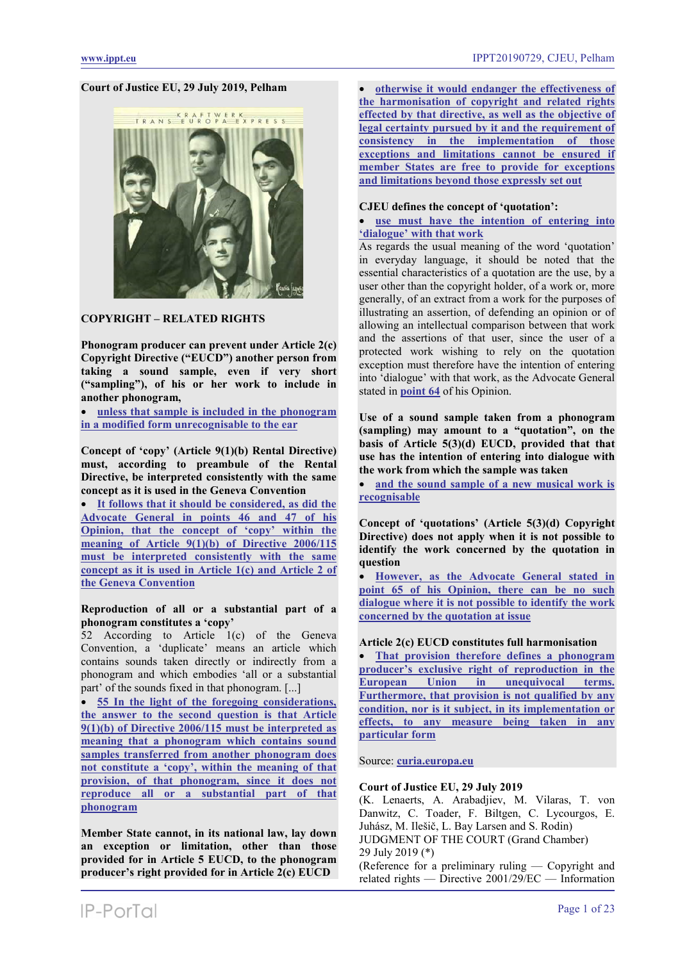### **Court of Justice EU, 29 July 2019, Pelham**



# **COPYRIGHT – RELATED RIGHTS**

**Phonogram producer can prevent under Article 2(c) Copyright Directive ("EUCD") another person from taking a sound sample, even if very short ("sampling"), of his or her work to include in another phonogram,**

• **[unless that sample is included in the phonogram](#page-5-0)  [in a modified form unrecognisable to the ear](#page-5-0)**

**Concept of 'copy' (Article 9(1)(b) Rental Directive) must, according to preambule of the Rental Directive, be interpreted consistently with the same concept as it is used in the Geneva Convention**

• **[It follows that it should be considered, as did the](#page-6-0)  [Advocate General in points 46 and 47 of his](#page-6-0)  [Opinion, that the concept of 'copy' within the](#page-6-0)  [meaning of Article 9\(1\)\(b\) of Directive 2006/115](#page-6-0)  [must be interpreted consistently with the same](#page-6-0)  [concept as it is used in Article 1\(c\) and Article 2 of](#page-6-0)  [the Geneva Convention](#page-6-0)**

# **Reproduction of all or a substantial part of a phonogram constitutes a 'copy'**

52 According to Article 1(c) of the Geneva Convention, a 'duplicate' means an article which contains sounds taken directly or indirectly from a phonogram and which embodies 'all or a substantial part' of the sounds fixed in that phonogram. [...]

• **[55 In the light of the foregoing considerations,](#page-6-1)  [the answer to the second question is that Article](#page-6-1)  [9\(1\)\(b\) of Directive 2006/115 must be interpreted as](#page-6-1)  [meaning that a phonogram which contains sound](#page-6-1)  [samples transferred from another phonogram does](#page-6-1)  [not constitute a 'copy', within the meaning of that](#page-6-1)  [provision, of that phonogram, since it does not](#page-6-1)  [reproduce all or a substantial part of that](#page-6-1)  [phonogram](#page-6-1)**

**Member State cannot, in its national law, lay down an exception or limitation, other than those provided for in Article 5 EUCD, to the phonogram producer's right provided for in Article 2(c) EUCD**

• **[otherwise it would endanger the effectiveness of](#page-7-0)  [the harmonisation of copyright and related rights](#page-7-0)  [effected by that directive, as well as the objective of](#page-7-0)  [legal certainty pursued by it and the requirement of](#page-7-0)  [consistency in the implementation of those](#page-7-0)  [exceptions and limitations cannot be ensured if](#page-7-0)  [member States are free to provide for exceptions](#page-7-0)  [and limitations beyond those expressly set out](#page-7-0)**

#### **CJEU defines the concept of 'quotation':**

#### • **[use must have the intention of entering into](#page-8-0)  ['dialogue' with that work](#page-8-0)**

As regards the usual meaning of the word 'quotation' in everyday language, it should be noted that the essential characteristics of a quotation are the use, by a user other than the copyright holder, of a work or, more generally, of an extract from a work for the purposes of illustrating an assertion, of defending an opinion or of allowing an intellectual comparison between that work and the assertions of that user, since the user of a protected work wishing to rely on the quotation exception must therefore have the intention of entering into 'dialogue' with that work, as the Advocate General stated in **[point 64](#page-16-0)** of his Opinion.

**Use of a sound sample taken from a phonogram (sampling) may amount to a "quotation", on the basis of Article 5(3)(d) EUCD, provided that that use has the intention of entering into dialogue with the work from which the sample was taken**

and the sound sample of a new musical work is **[recognisable](#page-8-1)**

**Concept of 'quotations' (Article 5(3)(d) Copyright Directive) does not apply when it is not possible to identify the work concerned by the quotation in question**

• **[However, as the Advocate General stated in](#page-8-2)  [point 65 of his Opinion, there can be no such](#page-8-2) [dialogue where it is not possible to identify the work](#page-8-2)  [concerned by the quotation at issue](#page-8-2)**

### **Article 2(c) EUCD constitutes full harmonisation**

• **[That provision therefore defines a phonogram](#page-9-0)  [producer's exclusive right of reproduction in the](#page-9-0)  [European Union in unequivocal terms.](#page-9-0)  [Furthermore, that provision is not qualified by any](#page-9-0)  [condition, nor is it subject, in its implementation or](#page-9-0)  [effects, to any measure being taken in any](#page-9-0)  [particular form](#page-9-0)**

Source: **[curia.europa.eu](http://curia.europa.eu/juris/liste.jsf?oqp=&for=&mat=or&lgrec=en&jge=&td=%3BALL&jur=C%2CT%2CF&num=C-476%252F17&page=1&dates=&pcs=Oor&lg=&pro=&nat=or&cit=none%252CC%252CCJ%252CR%252C2008E%252C%252C%252C%252C%252C%252C%252C%252C%252C%252Ctrue%252Cfalse%252Cfalse&language=en&avg=&cid=6021956)**

#### **Court of Justice EU, 29 July 2019**

(K. Lenaerts, A. Arabadjiev, M. Vilaras, T. von Danwitz, C. Toader, F. Biltgen, C. Lycourgos, E. Juhász, M. Ilešič, L. Bay Larsen and S. Rodin) JUDGMENT OF THE COURT (Grand Chamber) 29 July 2019 (\*) (Reference for a preliminary ruling — Copyright and related rights — Directive 2001/29/EC — Information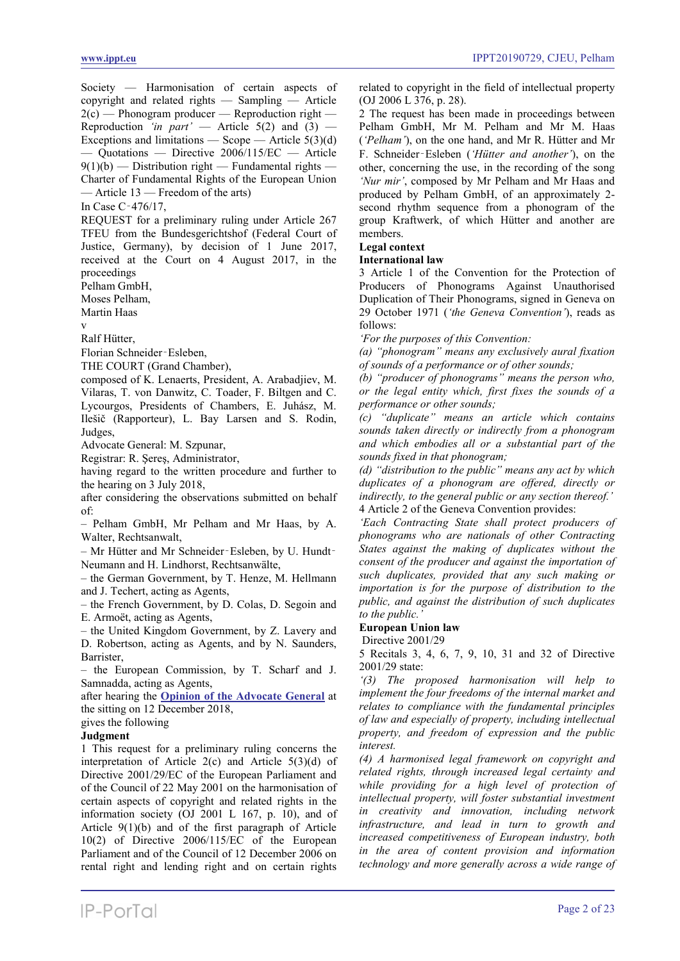Society — Harmonisation of certain aspects of copyright and related rights — Sampling — Article 2(c) — Phonogram producer — Reproduction right — Reproduction *'in part'* — Article  $5(2)$  and  $(3)$  — Exceptions and limitations — Scope — Article  $5(3)(d)$ — Quotations — Directive 2006/115/EC — Article  $9(1)(b)$  — Distribution right — Fundamental rights — Charter of Fundamental Rights of the European Union — Article 13 — Freedom of the arts)

In Case C‑476/17,

REQUEST for a preliminary ruling under Article 267 TFEU from the Bundesgerichtshof (Federal Court of Justice, Germany), by decision of 1 June 2017, received at the Court on 4 August 2017, in the proceedings

Pelham GmbH,

Moses Pelham,

Martin Haas

v

Ralf Hütter,

Florian Schneider‑Esleben,

THE COURT (Grand Chamber),

composed of K. Lenaerts, President, A. Arabadjiev, M. Vilaras, T. von Danwitz, C. Toader, F. Biltgen and C. Lycourgos, Presidents of Chambers, E. Juhász, M. Ilešič (Rapporteur), L. Bay Larsen and S. Rodin, Judges,

Advocate General: M. Szpunar,

Registrar: R. Şereş, Administrator,

having regard to the written procedure and further to the hearing on 3 July 2018,

after considering the observations submitted on behalf of:

– Pelham GmbH, Mr Pelham and Mr Haas, by A. Walter, Rechtsanwalt,

– Mr Hütter and Mr Schneider‑Esleben, by U. Hundt‑ Neumann and H. Lindhorst, Rechtsanwälte,

– the German Government, by T. Henze, M. Hellmann and J. Techert, acting as Agents,

– the French Government, by D. Colas, D. Segoin and E. Armoët, acting as Agents,

– the United Kingdom Government, by Z. Lavery and D. Robertson, acting as Agents, and by N. Saunders, Barrister,

– the European Commission, by T. Scharf and J. Samnadda, acting as Agents,

after hearing the **[Opinion of the Advocate General](#page-9-1)** at the sitting on 12 December 2018,

gives the following

#### **Judgment**

1 This request for a preliminary ruling concerns the interpretation of Article  $2(c)$  and Article  $5(3)(d)$  of Directive 2001/29/EC of the European Parliament and of the Council of 22 May 2001 on the harmonisation of certain aspects of copyright and related rights in the information society (OJ 2001 L 167, p. 10), and of Article 9(1)(b) and of the first paragraph of Article 10(2) of Directive 2006/115/EC of the European Parliament and of the Council of 12 December 2006 on rental right and lending right and on certain rights

related to copyright in the field of intellectual property (OJ 2006 L 376, p. 28).

2 The request has been made in proceedings between Pelham GmbH, Mr M. Pelham and Mr M. Haas (*'Pelham'*), on the one hand, and Mr R. Hütter and Mr F. Schneider‑Esleben (*'Hütter and another'*), on the other, concerning the use, in the recording of the song *'Nur mir'*, composed by Mr Pelham and Mr Haas and produced by Pelham GmbH, of an approximately 2 second rhythm sequence from a phonogram of the group Kraftwerk, of which Hütter and another are members.

# **Legal context**

### **International law**

3 Article 1 of the Convention for the Protection of Producers of Phonograms Against Unauthorised Duplication of Their Phonograms, signed in Geneva on 29 October 1971 (*'the Geneva Convention'*), reads as follows:

*'For the purposes of this Convention:*

*(a) "phonogram" means any exclusively aural fixation of sounds of a performance or of other sounds;*

*(b) "producer of phonograms" means the person who, or the legal entity which, first fixes the sounds of a performance or other sounds;*

*(c) "duplicate" means an article which contains sounds taken directly or indirectly from a phonogram and which embodies all or a substantial part of the sounds fixed in that phonogram;*

*(d) "distribution to the public" means any act by which duplicates of a phonogram are offered, directly or indirectly, to the general public or any section thereof.'* 4 Article 2 of the Geneva Convention provides:

*'Each Contracting State shall protect producers of phonograms who are nationals of other Contracting States against the making of duplicates without the consent of the producer and against the importation of such duplicates, provided that any such making or importation is for the purpose of distribution to the public, and against the distribution of such duplicates to the public.'*

#### **European Union law**

Directive 2001/29

5 Recitals 3, 4, 6, 7, 9, 10, 31 and 32 of Directive 2001/29 state:

*'(3) The proposed harmonisation will help to implement the four freedoms of the internal market and relates to compliance with the fundamental principles of law and especially of property, including intellectual property, and freedom of expression and the public interest.*

*(4) A harmonised legal framework on copyright and related rights, through increased legal certainty and while providing for a high level of protection of intellectual property, will foster substantial investment in creativity and innovation, including network infrastructure, and lead in turn to growth and increased competitiveness of European industry, both in the area of content provision and information technology and more generally across a wide range of*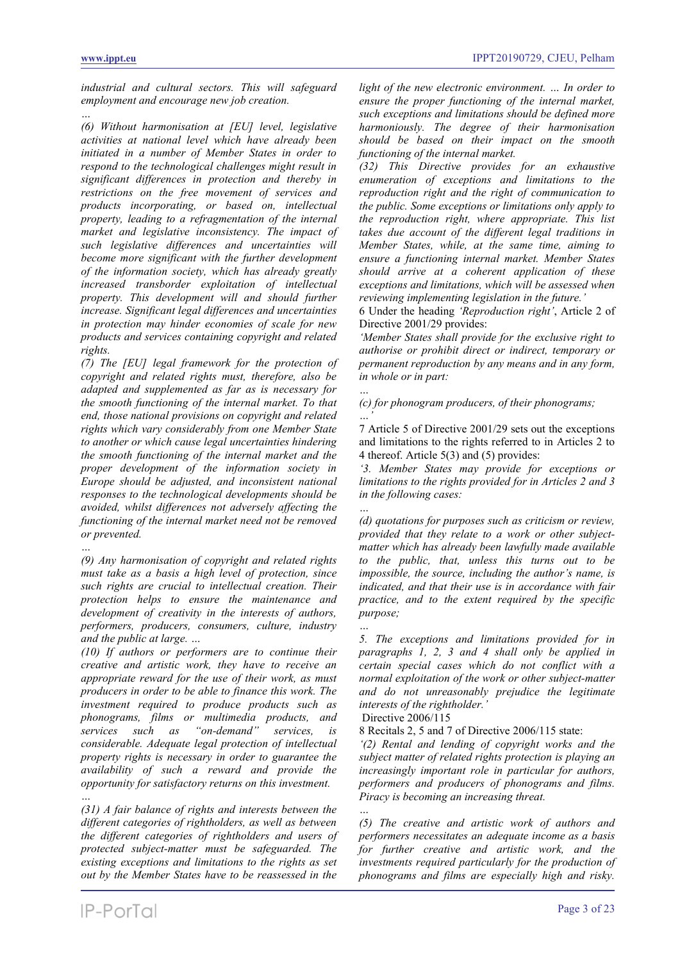*industrial and cultural sectors. This will safeguard employment and encourage new job creation.*

*… (6) Without harmonisation at [EU] level, legislative activities at national level which have already been initiated in a number of Member States in order to respond to the technological challenges might result in significant differences in protection and thereby in restrictions on the free movement of services and products incorporating, or based on, intellectual property, leading to a refragmentation of the internal market and legislative inconsistency. The impact of such legislative differences and uncertainties will become more significant with the further development of the information society, which has already greatly increased transborder exploitation of intellectual property. This development will and should further increase. Significant legal differences and uncertainties in protection may hinder economies of scale for new products and services containing copyright and related rights.*

*(7) The [EU] legal framework for the protection of copyright and related rights must, therefore, also be adapted and supplemented as far as is necessary for the smooth functioning of the internal market. To that end, those national provisions on copyright and related rights which vary considerably from one Member State to another or which cause legal uncertainties hindering the smooth functioning of the internal market and the proper development of the information society in Europe should be adjusted, and inconsistent national responses to the technological developments should be avoided, whilst differences not adversely affecting the functioning of the internal market need not be removed or prevented.*

*… (9) Any harmonisation of copyright and related rights must take as a basis a high level of protection, since such rights are crucial to intellectual creation. Their protection helps to ensure the maintenance and development of creativity in the interests of authors, performers, producers, consumers, culture, industry and the public at large. …*

*(10) If authors or performers are to continue their creative and artistic work, they have to receive an appropriate reward for the use of their work, as must producers in order to be able to finance this work. The investment required to produce products such as phonograms, films or multimedia products, and services such as "on-demand" services, is considerable. Adequate legal protection of intellectual property rights is necessary in order to guarantee the availability of such a reward and provide the opportunity for satisfactory returns on this investment.*

*(31) A fair balance of rights and interests between the different categories of rightholders, as well as between the different categories of rightholders and users of protected subject-matter must be safeguarded. The existing exceptions and limitations to the rights as set out by the Member States have to be reassessed in the* 

*light of the new electronic environment. … In order to ensure the proper functioning of the internal market, such exceptions and limitations should be defined more harmoniously. The degree of their harmonisation should be based on their impact on the smooth functioning of the internal market.*

*(32) This Directive provides for an exhaustive enumeration of exceptions and limitations to the reproduction right and the right of communication to the public. Some exceptions or limitations only apply to the reproduction right, where appropriate. This list takes due account of the different legal traditions in Member States, while, at the same time, aiming to ensure a functioning internal market. Member States should arrive at a coherent application of these exceptions and limitations, which will be assessed when reviewing implementing legislation in the future.'*

6 Under the heading *'Reproduction right'*, Article 2 of Directive 2001/29 provides:

*'Member States shall provide for the exclusive right to authorise or prohibit direct or indirect, temporary or permanent reproduction by any means and in any form, in whole or in part:*

*… (c) for phonogram producers, of their phonograms;*

*…'*

7 Article 5 of Directive 2001/29 sets out the exceptions and limitations to the rights referred to in Articles 2 to 4 thereof. Article 5(3) and (5) provides:

*'3. Member States may provide for exceptions or limitations to the rights provided for in Articles 2 and 3 in the following cases:*

*… (d) quotations for purposes such as criticism or review, provided that they relate to a work or other subjectmatter which has already been lawfully made available to the public, that, unless this turns out to be impossible, the source, including the author's name, is indicated, and that their use is in accordance with fair practice, and to the extent required by the specific purpose;*

*… 5. The exceptions and limitations provided for in paragraphs 1, 2, 3 and 4 shall only be applied in certain special cases which do not conflict with a normal exploitation of the work or other subject-matter and do not unreasonably prejudice the legitimate interests of the rightholder.'*  Directive 2006/115

8 Recitals 2, 5 and 7 of Directive 2006/115 state:

*'(2) Rental and lending of copyright works and the subject matter of related rights protection is playing an increasingly important role in particular for authors, performers and producers of phonograms and films. Piracy is becoming an increasing threat.*

*… (5) The creative and artistic work of authors and performers necessitates an adequate income as a basis for further creative and artistic work, and the investments required particularly for the production of phonograms and films are especially high and risky.* 

*…*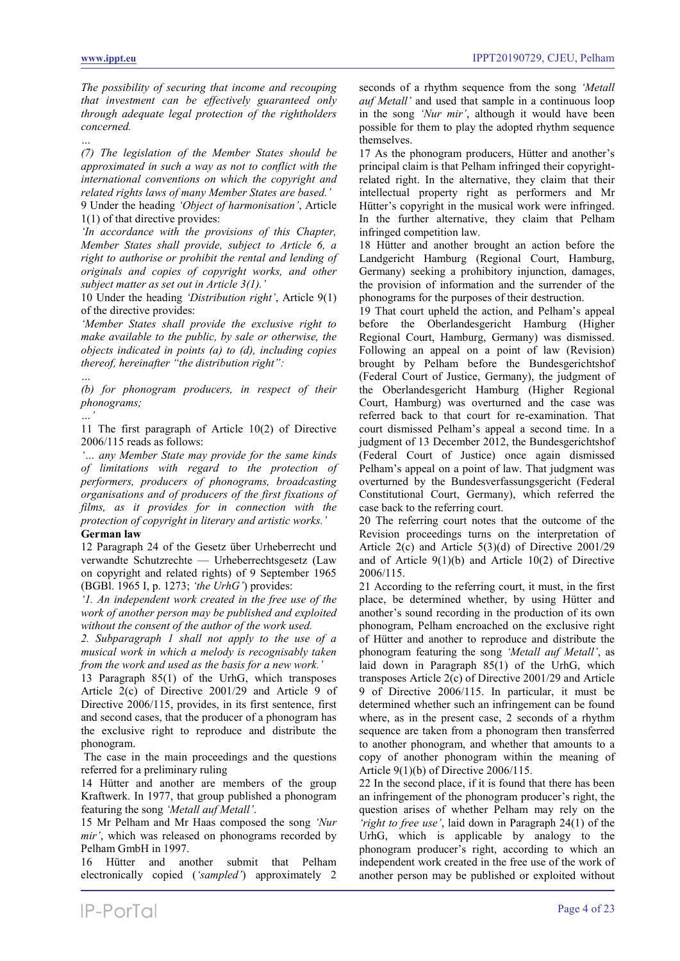*The possibility of securing that income and recouping that investment can be effectively guaranteed only through adequate legal protection of the rightholders concerned.*

*… (7) The legislation of the Member States should be approximated in such a way as not to conflict with the international conventions on which the copyright and related rights laws of many Member States are based.'*

9 Under the heading *'Object of harmonisation'*, Article 1(1) of that directive provides:

*'In accordance with the provisions of this Chapter, Member States shall provide, subject to Article 6, a right to authorise or prohibit the rental and lending of originals and copies of copyright works, and other subject matter as set out in Article 3(1).'*

10 Under the heading *'Distribution right'*, Article 9(1) of the directive provides:

*'Member States shall provide the exclusive right to make available to the public, by sale or otherwise, the objects indicated in points (a) to (d), including copies thereof, hereinafter "the distribution right":* 

*… (b) for phonogram producers, in respect of their phonograms;*

*…'* 11 The first paragraph of Article 10(2) of Directive 2006/115 reads as follows:

*'… any Member State may provide for the same kinds of limitations with regard to the protection of performers, producers of phonograms, broadcasting organisations and of producers of the first fixations of films, as it provides for in connection with the protection of copyright in literary and artistic works.'*

# **German law**

12 Paragraph 24 of the Gesetz über Urheberrecht und verwandte Schutzrechte — Urheberrechtsgesetz (Law on copyright and related rights) of 9 September 1965 (BGBl. 1965 I, p. 1273; *'the UrhG'*) provides:

*'1. An independent work created in the free use of the work of another person may be published and exploited without the consent of the author of the work used.*

*2. Subparagraph 1 shall not apply to the use of a musical work in which a melody is recognisably taken from the work and used as the basis for a new work.'*

13 Paragraph 85(1) of the UrhG, which transposes Article 2(c) of Directive 2001/29 and Article 9 of Directive 2006/115, provides, in its first sentence, first and second cases, that the producer of a phonogram has the exclusive right to reproduce and distribute the phonogram.

The case in the main proceedings and the questions referred for a preliminary ruling

14 Hütter and another are members of the group Kraftwerk. In 1977, that group published a phonogram featuring the song *'Metall auf Metall'*.

15 Mr Pelham and Mr Haas composed the song *'Nur mir'*, which was released on phonograms recorded by Pelham GmbH in 1997.

16 Hütter and another submit that Pelham electronically copied (*'sampled'*) approximately 2 seconds of a rhythm sequence from the song *'Metall auf Metall'* and used that sample in a continuous loop in the song *'Nur mir'*, although it would have been possible for them to play the adopted rhythm sequence themselves.

17 As the phonogram producers, Hütter and another's principal claim is that Pelham infringed their copyrightrelated right. In the alternative, they claim that their intellectual property right as performers and Mr Hütter's copyright in the musical work were infringed. In the further alternative, they claim that Pelham infringed competition law.

18 Hütter and another brought an action before the Landgericht Hamburg (Regional Court, Hamburg, Germany) seeking a prohibitory injunction, damages, the provision of information and the surrender of the phonograms for the purposes of their destruction.

19 That court upheld the action, and Pelham's appeal before the Oberlandesgericht Hamburg (Higher Regional Court, Hamburg, Germany) was dismissed. Following an appeal on a point of law (Revision) brought by Pelham before the Bundesgerichtshof (Federal Court of Justice, Germany), the judgment of the Oberlandesgericht Hamburg (Higher Regional Court, Hamburg) was overturned and the case was referred back to that court for re-examination. That court dismissed Pelham's appeal a second time. In a judgment of 13 December 2012, the Bundesgerichtshof (Federal Court of Justice) once again dismissed Pelham's appeal on a point of law. That judgment was overturned by the Bundesverfassungsgericht (Federal Constitutional Court, Germany), which referred the case back to the referring court.

20 The referring court notes that the outcome of the Revision proceedings turns on the interpretation of Article 2(c) and Article 5(3)(d) of Directive 2001/29 and of Article 9(1)(b) and Article 10(2) of Directive 2006/115.

21 According to the referring court, it must, in the first place, be determined whether, by using Hütter and another's sound recording in the production of its own phonogram, Pelham encroached on the exclusive right of Hütter and another to reproduce and distribute the phonogram featuring the song *'Metall auf Metall'*, as laid down in Paragraph 85(1) of the UrhG, which transposes Article 2(c) of Directive 2001/29 and Article 9 of Directive 2006/115. In particular, it must be determined whether such an infringement can be found where, as in the present case, 2 seconds of a rhythm sequence are taken from a phonogram then transferred to another phonogram, and whether that amounts to a copy of another phonogram within the meaning of Article 9(1)(b) of Directive 2006/115.

22 In the second place, if it is found that there has been an infringement of the phonogram producer's right, the question arises of whether Pelham may rely on the *'right to free use'*, laid down in Paragraph 24(1) of the UrhG, which is applicable by analogy to the phonogram producer's right, according to which an independent work created in the free use of the work of another person may be published or exploited without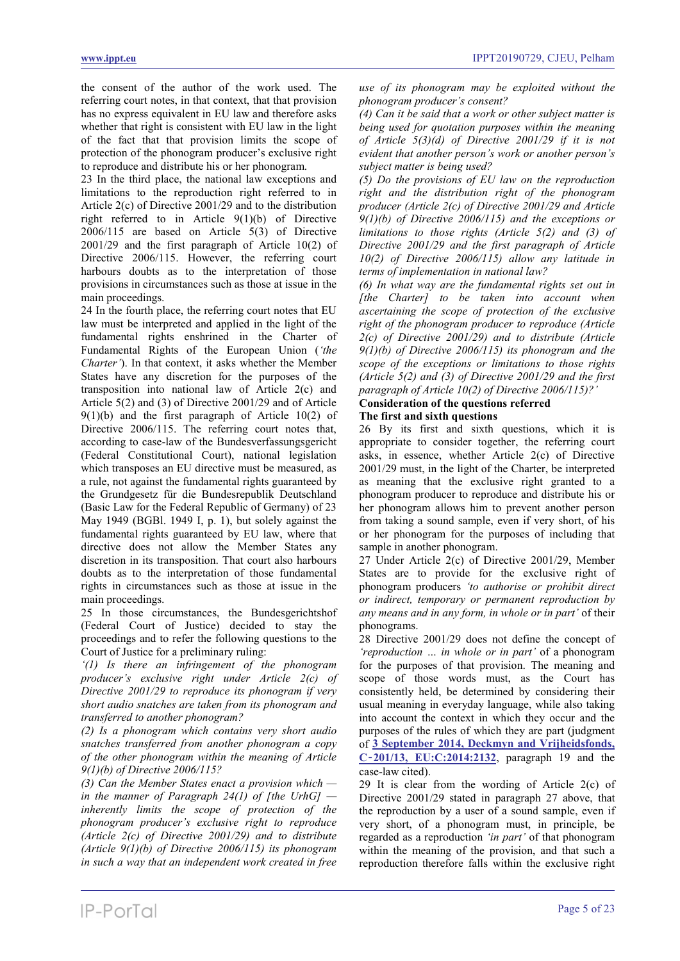the consent of the author of the work used. The referring court notes, in that context, that that provision has no express equivalent in EU law and therefore asks whether that right is consistent with EU law in the light of the fact that that provision limits the scope of protection of the phonogram producer's exclusive right to reproduce and distribute his or her phonogram.

23 In the third place, the national law exceptions and limitations to the reproduction right referred to in Article 2(c) of Directive 2001/29 and to the distribution right referred to in Article 9(1)(b) of Directive 2006/115 are based on Article 5(3) of Directive 2001/29 and the first paragraph of Article 10(2) of Directive 2006/115. However, the referring court harbours doubts as to the interpretation of those provisions in circumstances such as those at issue in the main proceedings.

<span id="page-4-1"></span>24 In the fourth place, the referring court notes that EU law must be interpreted and applied in the light of the fundamental rights enshrined in the Charter of Fundamental Rights of the European Union (*'the Charter'*). In that context, it asks whether the Member States have any discretion for the purposes of the transposition into national law of Article 2(c) and Article 5(2) and (3) of Directive 2001/29 and of Article  $9(1)(b)$  and the first paragraph of Article 10(2) of Directive 2006/115. The referring court notes that, according to case-law of the Bundesverfassungsgericht (Federal Constitutional Court), national legislation which transposes an EU directive must be measured, as a rule, not against the fundamental rights guaranteed by the Grundgesetz für die Bundesrepublik Deutschland (Basic Law for the Federal Republic of Germany) of 23 May 1949 (BGBl. 1949 I, p. 1), but solely against the fundamental rights guaranteed by EU law, where that directive does not allow the Member States any discretion in its transposition. That court also harbours doubts as to the interpretation of those fundamental rights in circumstances such as those at issue in the main proceedings.

25 In those circumstances, the Bundesgerichtshof (Federal Court of Justice) decided to stay the proceedings and to refer the following questions to the Court of Justice for a preliminary ruling:

*'(1) Is there an infringement of the phonogram producer's exclusive right under Article 2(c) of Directive 2001/29 to reproduce its phonogram if very short audio snatches are taken from its phonogram and transferred to another phonogram?*

*(2) Is a phonogram which contains very short audio snatches transferred from another phonogram a copy of the other phonogram within the meaning of Article 9(1)(b) of Directive 2006/115?*

*(3) Can the Member States enact a provision which in the manner of Paragraph 24(1) of [the UrhG] inherently limits the scope of protection of the phonogram producer's exclusive right to reproduce (Article 2(c) of Directive 2001/29) and to distribute (Article 9(1)(b) of Directive 2006/115) its phonogram in such a way that an independent work created in free*  *use of its phonogram may be exploited without the phonogram producer's consent?*

*(4) Can it be said that a work or other subject matter is being used for quotation purposes within the meaning of Article 5(3)(d) of Directive 2001/29 if it is not evident that another person's work or another person's subject matter is being used?*

*(5) Do the provisions of EU law on the reproduction right and the distribution right of the phonogram producer (Article 2(c) of Directive 2001/29 and Article 9(1)(b) of Directive 2006/115) and the exceptions or limitations to those rights (Article 5(2) and (3) of Directive 2001/29 and the first paragraph of Article 10(2) of Directive 2006/115) allow any latitude in terms of implementation in national law?*

*(6) In what way are the fundamental rights set out in [the Charter] to be taken into account when ascertaining the scope of protection of the exclusive right of the phonogram producer to reproduce (Article 2(c) of Directive 2001/29) and to distribute (Article 9(1)(b) of Directive 2006/115) its phonogram and the scope of the exceptions or limitations to those rights (Article 5(2) and (3) of Directive 2001/29 and the first paragraph of Article 10(2) of Directive 2006/115)?'* 

# **Consideration of the questions referred**

# **The first and sixth questions**

26 By its first and sixth questions, which it is appropriate to consider together, the referring court asks, in essence, whether Article 2(c) of Directive 2001/29 must, in the light of the Charter, be interpreted as meaning that the exclusive right granted to a phonogram producer to reproduce and distribute his or her phonogram allows him to prevent another person from taking a sound sample, even if very short, of his or her phonogram for the purposes of including that sample in another phonogram.

27 Under Article 2(c) of Directive 2001/29, Member States are to provide for the exclusive right of phonogram producers *'to authorise or prohibit direct or indirect, temporary or permanent reproduction by any means and in any form, in whole or in part'* of their phonograms.

<span id="page-4-0"></span>28 Directive 2001/29 does not define the concept of *'reproduction … in whole or in part'* of a phonogram for the purposes of that provision. The meaning and scope of those words must, as the Court has consistently held, be determined by considering their usual meaning in everyday language, while also taking into account the context in which they occur and the purposes of the rules of which they are part (judgment of **[3 September 2014, Deckmyn and Vrijheidsfonds,](https://www.ippt.eu/files/2014/IPPT20140903_ECJ_Deckmyn_and_Vrijheidsfonds_v_Vandersteen.pdf)  C**‑**[201/13, EU:C:2014:2132](https://www.ippt.eu/files/2014/IPPT20140903_ECJ_Deckmyn_and_Vrijheidsfonds_v_Vandersteen.pdf)**, paragraph 19 and the case-law cited).

29 It is clear from the wording of Article 2(c) of Directive 2001/29 stated in paragraph 27 above, that the reproduction by a user of a sound sample, even if very short, of a phonogram must, in principle, be regarded as a reproduction *'in part'* of that phonogram within the meaning of the provision, and that such a reproduction therefore falls within the exclusive right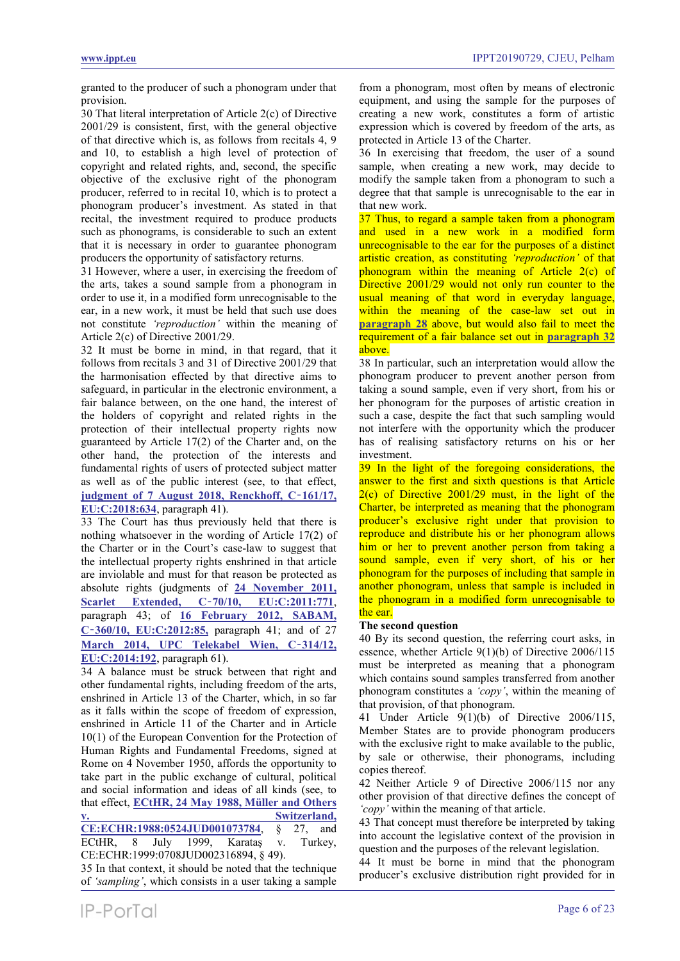granted to the producer of such a phonogram under that provision.

30 That literal interpretation of Article 2(c) of Directive 2001/29 is consistent, first, with the general objective of that directive which is, as follows from recitals 4, 9 and 10, to establish a high level of protection of copyright and related rights, and, second, the specific objective of the exclusive right of the phonogram producer, referred to in recital 10, which is to protect a phonogram producer's investment. As stated in that recital, the investment required to produce products such as phonograms, is considerable to such an extent that it is necessary in order to guarantee phonogram producers the opportunity of satisfactory returns.

31 However, where a user, in exercising the freedom of the arts, takes a sound sample from a phonogram in order to use it, in a modified form unrecognisable to the ear, in a new work, it must be held that such use does not constitute *'reproduction'* within the meaning of Article 2(c) of Directive 2001/29.

<span id="page-5-1"></span>32 It must be borne in mind, in that regard, that it follows from recitals 3 and 31 of Directive 2001/29 that the harmonisation effected by that directive aims to safeguard, in particular in the electronic environment, a fair balance between, on the one hand, the interest of the holders of copyright and related rights in the protection of their intellectual property rights now guaranteed by Article 17(2) of the Charter and, on the other hand, the protection of the interests and fundamental rights of users of protected subject matter as well as of the public interest (see, to that effect, **[judgment of 7 August 2018, Renckhoff, C](https://www.ippt.eu/sites/default/files/2018/IPPT20180807_CJEU_Land_Nordrhein-Westfalen_v_Renckhoff.pdf)**‑**161/17, [EU:C:2018:634](https://www.ippt.eu/sites/default/files/2018/IPPT20180807_CJEU_Land_Nordrhein-Westfalen_v_Renckhoff.pdf)**, paragraph 41).

33 The Court has thus previously held that there is nothing whatsoever in the wording of Article 17(2) of the Charter or in the Court's case-law to suggest that the intellectual property rights enshrined in that article are inviolable and must for that reason be protected as absolute rights (judgments of **[24 November 2011,](https://www.ippt.eu/files/2011/IPPT20111124_ECJ_Scarlet_v_SABAM.pdf)  [Scarlet Extended, C](https://www.ippt.eu/files/2011/IPPT20111124_ECJ_Scarlet_v_SABAM.pdf)**‑**70/10, EU:C:2011:771**, paragraph 43; of **[16 February 2012, SABAM,](https://www.ippt.eu/files/2012/IPPT20120216_ECJ_SABAM_v_Netlog.pdf)  C**‑**[360/10, EU:C:2012:85,](https://www.ippt.eu/files/2012/IPPT20120216_ECJ_SABAM_v_Netlog.pdf)** paragraph 41; and of 27 **[March 2014, UPC Telekabel Wien, C](https://www.ippt.eu/sites/default/files/2014/IPPT20140327_ECJ_UPC_Telekabel_v_Constantin_Film.pdf)**‑**314/12, [EU:C:2014:192](https://www.ippt.eu/sites/default/files/2014/IPPT20140327_ECJ_UPC_Telekabel_v_Constantin_Film.pdf)**, paragraph 61).

34 A balance must be struck between that right and other fundamental rights, including freedom of the arts, enshrined in Article 13 of the Charter, which, in so far as it falls within the scope of freedom of expression, enshrined in Article 11 of the Charter and in Article 10(1) of the European Convention for the Protection of Human Rights and Fundamental Freedoms, signed at Rome on 4 November 1950, affords the opportunity to take part in the public exchange of cultural, political and social information and ideas of all kinds (see, to that effect, **[ECtHR, 24 May 1988, Müller and Others](https://www.ippt.eu/files/1988/IPPT19880524_ECHR_Muller_and_Others_v_Switzerland.pdf)  Switzerland,** 

**[CE:ECHR:1988:0524JUD001073784](https://www.ippt.eu/files/1988/IPPT19880524_ECHR_Muller_and_Others_v_Switzerland.pdf)**, § 27, and ECtHR, 8 July 1999, Karataş v. Turkey, CE:ECHR:1999:0708JUD002316894, § 49).

35 In that context, it should be noted that the technique of *'sampling'*, which consists in a user taking a sample from a phonogram, most often by means of electronic equipment, and using the sample for the purposes of creating a new work, constitutes a form of artistic expression which is covered by freedom of the arts, as protected in Article 13 of the Charter.

36 In exercising that freedom, the user of a sound sample, when creating a new work, may decide to modify the sample taken from a phonogram to such a degree that that sample is unrecognisable to the ear in that new work.

<span id="page-5-0"></span>37 Thus, to regard a sample taken from a phonogram and used in a new work in a modified form unrecognisable to the ear for the purposes of a distinct artistic creation, as constituting *'reproduction'* of that phonogram within the meaning of Article  $2(c)$  of Directive 2001/29 would not only run counter to the usual meaning of that word in everyday language, within the meaning of the case-law set out in **[paragraph 28](#page-4-0)** above, but would also fail to meet the requirement of a fair balance set out in **[paragraph 32](#page-5-1)** above.

38 In particular, such an interpretation would allow the phonogram producer to prevent another person from taking a sound sample, even if very short, from his or her phonogram for the purposes of artistic creation in such a case, despite the fact that such sampling would not interfere with the opportunity which the producer has of realising satisfactory returns on his or her investment.

39 In the light of the foregoing considerations, the answer to the first and sixth questions is that Article  $2(c)$  of Directive 2001/29 must, in the light of the Charter, be interpreted as meaning that the phonogram producer's exclusive right under that provision to reproduce and distribute his or her phonogram allows him or her to prevent another person from taking a sound sample, even if very short, of his or her phonogram for the purposes of including that sample in another phonogram, unless that sample is included in the phonogram in a modified form unrecognisable to the ear.

#### **The second question**

40 By its second question, the referring court asks, in essence, whether Article 9(1)(b) of Directive 2006/115 must be interpreted as meaning that a phonogram which contains sound samples transferred from another phonogram constitutes a *'copy'*, within the meaning of that provision, of that phonogram.

41 Under Article 9(1)(b) of Directive 2006/115, Member States are to provide phonogram producers with the exclusive right to make available to the public, by sale or otherwise, their phonograms, including copies thereof.

42 Neither Article 9 of Directive 2006/115 nor any other provision of that directive defines the concept of *'copy'* within the meaning of that article.

43 That concept must therefore be interpreted by taking into account the legislative context of the provision in question and the purposes of the relevant legislation.

44 It must be borne in mind that the phonogram producer's exclusive distribution right provided for in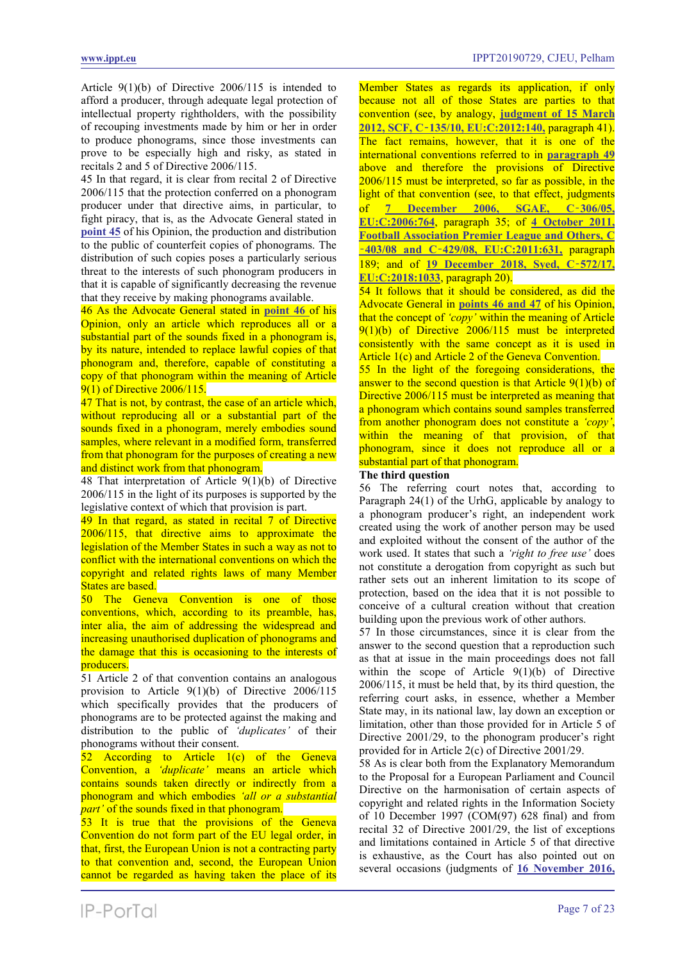Article 9(1)(b) of Directive 2006/115 is intended to afford a producer, through adequate legal protection of intellectual property rightholders, with the possibility of recouping investments made by him or her in order to produce phonograms, since those investments can prove to be especially high and risky, as stated in recitals 2 and 5 of Directive 2006/115.

45 In that regard, it is clear from recital 2 of Directive 2006/115 that the protection conferred on a phonogram producer under that directive aims, in particular, to fight piracy, that is, as the Advocate General stated in **[point 45](#page-14-0)** of his Opinion, the production and distribution to the public of counterfeit copies of phonograms. The distribution of such copies poses a particularly serious threat to the interests of such phonogram producers in that it is capable of significantly decreasing the revenue that they receive by making phonograms available.

46 As the Advocate General stated in **[point 46](#page-14-1)** of his Opinion, only an article which reproduces all or a substantial part of the sounds fixed in a phonogram is, by its nature, intended to replace lawful copies of that phonogram and, therefore, capable of constituting a copy of that phonogram within the meaning of Article 9(1) of Directive 2006/115.

47 That is not, by contrast, the case of an article which, without reproducing all or a substantial part of the sounds fixed in a phonogram, merely embodies sound samples, where relevant in a modified form, transferred from that phonogram for the purposes of creating a new and distinct work from that phonogram.

48 That interpretation of Article 9(1)(b) of Directive 2006/115 in the light of its purposes is supported by the legislative context of which that provision is part.

<span id="page-6-2"></span>49 In that regard, as stated in recital 7 of Directive 2006/115, that directive aims to approximate the legislation of the Member States in such a way as not to conflict with the international conventions on which the copyright and related rights laws of many Member States are based.

50 The Geneva Convention is one of those conventions, which, according to its preamble, has, inter alia, the aim of addressing the widespread and increasing unauthorised duplication of phonograms and the damage that this is occasioning to the interests of producers.

51 Article 2 of that convention contains an analogous provision to Article 9(1)(b) of Directive 2006/115 which specifically provides that the producers of phonograms are to be protected against the making and distribution to the public of *'duplicates'* of their phonograms without their consent.

52 According to Article  $1(c)$  of the Geneva Convention, a *'duplicate'* means an article which contains sounds taken directly or indirectly from a phonogram and which embodies *'all or a substantial part'* of the sounds fixed in that phonogram.

53 It is true that the provisions of the Geneva Convention do not form part of the EU legal order, in that, first, the European Union is not a contracting party to that convention and, second, the European Union cannot be regarded as having taken the place of its Member States as regards its application, if only because not all of those States are parties to that convention (see, by analogy, **[judgment of 15 March](https://www.ippt.eu/sites/default/files/2012/IPPT20120315_ECJ_SCF_v_Del_Corso.pdf)  2012, SCF, C**‑**[135/10, EU:C:2012:140,](https://www.ippt.eu/sites/default/files/2012/IPPT20120315_ECJ_SCF_v_Del_Corso.pdf)** paragraph 41). The fact remains, however, that it is one of the international conventions referred to in **[paragraph 49](#page-6-2)** above and therefore the provisions of Directive 2006/115 must be interpreted, so far as possible, in the light of that convention (see, to that effect, judgments of **[7 December 2006, SGAE, C](https://www.ippt.eu/files/2006/IPPT20061207_ECJ_SGAE_v_Rafael_Hoteles.pdf)**‑**306/05, [EU:C:2006:764](https://www.ippt.eu/files/2006/IPPT20061207_ECJ_SGAE_v_Rafael_Hoteles.pdf)**, paragraph 35; of **[4 October 2011,](https://www.ippt.eu/files/2011/IPPT20111004_ECJ_Premier_League.pdf)  [Football Association Premier League and Others, C](https://www.ippt.eu/files/2011/IPPT20111004_ECJ_Premier_League.pdf)** ‑**403/08 and C**‑**[429/08, EU:C:2011:631,](https://www.ippt.eu/files/2011/IPPT20111004_ECJ_Premier_League.pdf)** paragraph 189; and of **[19 December 2018, Syed, C](https://www.ippt.eu/sites/default/files/2018/IPPT20181219_CJEU_Syed.pdf)**‑**572/17, [EU:C:2018:1033](https://www.ippt.eu/sites/default/files/2018/IPPT20181219_CJEU_Syed.pdf)**, paragraph 20).

<span id="page-6-1"></span><span id="page-6-0"></span>54 It follows that it should be considered, as did the Advocate General in **[points 46 and 47](#page-14-1)** of his Opinion, that the concept of *'copy'* within the meaning of Article 9(1)(b) of Directive 2006/115 must be interpreted consistently with the same concept as it is used in Article 1(c) and Article 2 of the Geneva Convention. 55 In the light of the foregoing considerations, the answer to the second question is that Article  $9(1)(b)$  of Directive 2006/115 must be interpreted as meaning that a phonogram which contains sound samples transferred from another phonogram does not constitute a *'copy'*, within the meaning of that provision, of that phonogram, since it does not reproduce all or a

#### substantial part of that phonogram. **The third question**

56 The referring court notes that, according to Paragraph 24(1) of the UrhG, applicable by analogy to a phonogram producer's right, an independent work created using the work of another person may be used and exploited without the consent of the author of the work used. It states that such a *'right to free use'* does not constitute a derogation from copyright as such but rather sets out an inherent limitation to its scope of protection, based on the idea that it is not possible to conceive of a cultural creation without that creation building upon the previous work of other authors.

57 In those circumstances, since it is clear from the answer to the second question that a reproduction such as that at issue in the main proceedings does not fall within the scope of Article 9(1)(b) of Directive 2006/115, it must be held that, by its third question, the referring court asks, in essence, whether a Member State may, in its national law, lay down an exception or limitation, other than those provided for in Article 5 of Directive 2001/29, to the phonogram producer's right provided for in Article 2(c) of Directive 2001/29.

<span id="page-6-3"></span>58 As is clear both from the Explanatory Memorandum to the Proposal for a European Parliament and Council Directive on the harmonisation of certain aspects of copyright and related rights in the Information Society of 10 December 1997 (COM(97) 628 final) and from recital 32 of Directive 2001/29, the list of exceptions and limitations contained in Article 5 of that directive is exhaustive, as the Court has also pointed out on several occasions (judgments of **[16 November 2016,](https://www.ippt.eu/sites/default/files/2016/IPPT20161116_CJEU_Soulier_Doke.pdf)**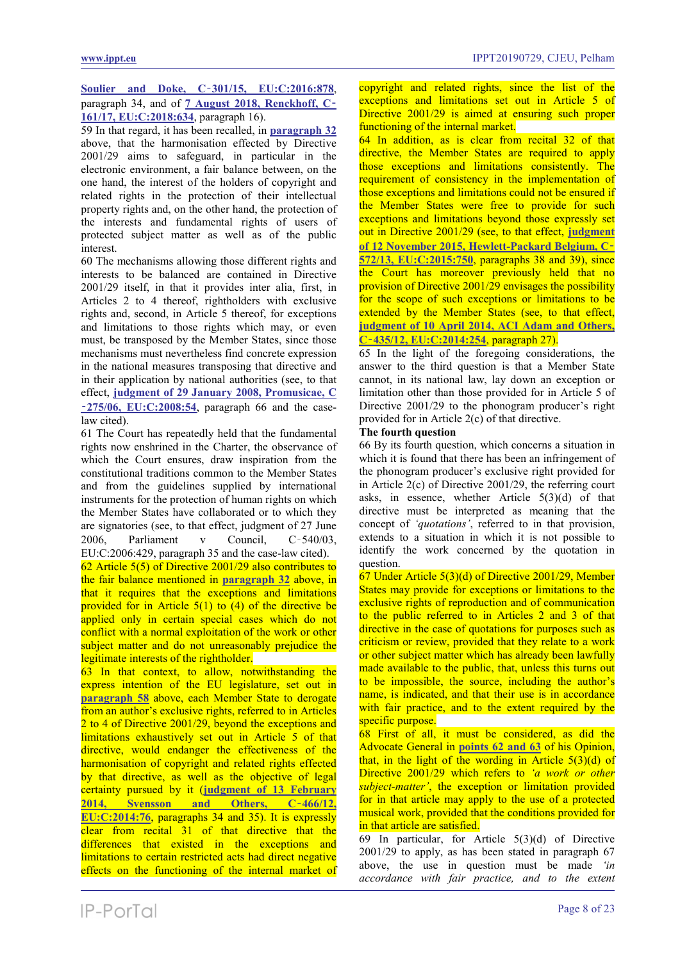**[Soulier and Doke, C](https://www.ippt.eu/sites/default/files/2016/IPPT20161116_CJEU_Soulier_Doke.pdf)**‑**301/15, EU:C:2016:878**, paragraph 34, and of **[7 August 2018, Renckhoff, C](https://www.ippt.eu/sites/default/files/2018/IPPT20180807_CJEU_Land_Nordrhein-Westfalen_v_Renckhoff.pdf)**‑ **[161/17, EU:C:2018:634](https://www.ippt.eu/sites/default/files/2018/IPPT20180807_CJEU_Land_Nordrhein-Westfalen_v_Renckhoff.pdf)**, paragraph 16).

59 In that regard, it has been recalled, in **[paragraph 32](#page-5-1)** above, that the harmonisation effected by Directive 2001/29 aims to safeguard, in particular in the electronic environment, a fair balance between, on the one hand, the interest of the holders of copyright and related rights in the protection of their intellectual property rights and, on the other hand, the protection of the interests and fundamental rights of users of protected subject matter as well as of the public interest.

60 The mechanisms allowing those different rights and interests to be balanced are contained in Directive 2001/29 itself, in that it provides inter alia, first, in Articles 2 to 4 thereof, rightholders with exclusive rights and, second, in Article 5 thereof, for exceptions and limitations to those rights which may, or even must, be transposed by the Member States, since those mechanisms must nevertheless find concrete expression in the national measures transposing that directive and in their application by national authorities (see, to that effect, **[judgment of 29 January 2008, Promusicae, C](https://www.ippt.eu/files/2008/IPPT20080129_ECJ_Promusicae_v_Telefonica_concerning_KaZaa.pdf)** ‑**[275/06, EU:C:2008:54](https://www.ippt.eu/files/2008/IPPT20080129_ECJ_Promusicae_v_Telefonica_concerning_KaZaa.pdf)**, paragraph 66 and the caselaw cited).

61 The Court has repeatedly held that the fundamental rights now enshrined in the Charter, the observance of which the Court ensures, draw inspiration from the constitutional traditions common to the Member States and from the guidelines supplied by international instruments for the protection of human rights on which the Member States have collaborated or to which they are signatories (see, to that effect, judgment of 27 June 2006, Parliament v Council, C‑540/03, EU:C:2006:429, paragraph 35 and the case-law cited). 62 Article 5(5) of Directive 2001/29 also contributes to the fair balance mentioned in **[paragraph 32](#page-5-1)** above, in that it requires that the exceptions and limitations provided for in Article  $5(1)$  to (4) of the directive be applied only in certain special cases which do not conflict with a normal exploitation of the work or other subject matter and do not unreasonably prejudice the legitimate interests of the rightholder.

<span id="page-7-0"></span>63 In that context, to allow, notwithstanding the express intention of the EU legislature, set out in **[paragraph 58](#page-6-3)** above, each Member State to derogate from an author's exclusive rights, referred to in Articles 2 to 4 of Directive 2001/29, beyond the exceptions and limitations exhaustively set out in Article 5 of that directive, would endanger the effectiveness of the harmonisation of copyright and related rights effected by that directive, as well as the objective of legal certainty pursued by it (**[judgment of 13 February](https://www.ippt.eu/files/2014/IPPT20140213_ECJ_Svensson_Retriever.pdf)  [2014, Svensson and Others, C](https://www.ippt.eu/files/2014/IPPT20140213_ECJ_Svensson_Retriever.pdf)**‑**466/12, [EU:C:2014:76](https://www.ippt.eu/files/2014/IPPT20140213_ECJ_Svensson_Retriever.pdf)**, paragraphs 34 and 35). It is expressly clear from recital 31 of that directive that the differences that existed in the exceptions and limitations to certain restricted acts had direct negative effects on the functioning of the internal market of copyright and related rights, since the list of the exceptions and limitations set out in Article 5 of Directive 2001/29 is aimed at ensuring such proper functioning of the internal market.

64 In addition, as is clear from recital 32 of that directive, the Member States are required to apply those exceptions and limitations consistently. The requirement of consistency in the implementation of those exceptions and limitations could not be ensured if the Member States were free to provide for such exceptions and limitations beyond those expressly set out in Directive 2001/29 (see, to that effect, **[judgment](https://www.ippt.eu/sites/default/files/2015/IPPT20151112_CJEU_Hewlett-Packard_v_Reprobel.pdf)  [of 12 November 2015, Hewlett-Packard Belgium, C](https://www.ippt.eu/sites/default/files/2015/IPPT20151112_CJEU_Hewlett-Packard_v_Reprobel.pdf)**‑ **[572/13, EU:C:2015:750](https://www.ippt.eu/sites/default/files/2015/IPPT20151112_CJEU_Hewlett-Packard_v_Reprobel.pdf)**, paragraphs 38 and 39), since the Court has moreover previously held that no provision of Directive 2001/29 envisages the possibility for the scope of such exceptions or limitations to be extended by the Member States (see, to that effect, **[judgment of 10 April 2014, ACI Adam and Others,](https://www.ippt.eu/files/2014/IPPT20140410_ECJ_ACI_v_Thuiskopie.pdf)  C**‑**[435/12, EU:C:2014:254](https://www.ippt.eu/files/2014/IPPT20140410_ECJ_ACI_v_Thuiskopie.pdf)**, paragraph 27).

65 In the light of the foregoing considerations, the answer to the third question is that a Member State cannot, in its national law, lay down an exception or limitation other than those provided for in Article 5 of Directive 2001/29 to the phonogram producer's right provided for in Article 2(c) of that directive.

### **The fourth question**

66 By its fourth question, which concerns a situation in which it is found that there has been an infringement of the phonogram producer's exclusive right provided for in Article 2(c) of Directive 2001/29, the referring court asks, in essence, whether Article 5(3)(d) of that directive must be interpreted as meaning that the concept of *'quotations'*, referred to in that provision, extends to a situation in which it is not possible to identify the work concerned by the quotation in question.

67 Under Article 5(3)(d) of Directive 2001/29, Member States may provide for exceptions or limitations to the exclusive rights of reproduction and of communication to the public referred to in Articles 2 and 3 of that directive in the case of quotations for purposes such as criticism or review, provided that they relate to a work or other subject matter which has already been lawfully made available to the public, that, unless this turns out to be impossible, the source, including the author's name, is indicated, and that their use is in accordance with fair practice, and to the extent required by the specific purpose.

68 First of all, it must be considered, as did the Advocate General in **[points 62 and 63](#page-16-1)** of his Opinion, that, in the light of the wording in Article  $5(3)(d)$  of Directive 2001/29 which refers to *'a work or other subject-matter'*, the exception or limitation provided for in that article may apply to the use of a protected musical work, provided that the conditions provided for in that article are satisfied.

69 In particular, for Article 5(3)(d) of Directive 2001/29 to apply, as has been stated in paragraph 67 above, the use in question must be made *'in accordance with fair practice, and to the extent*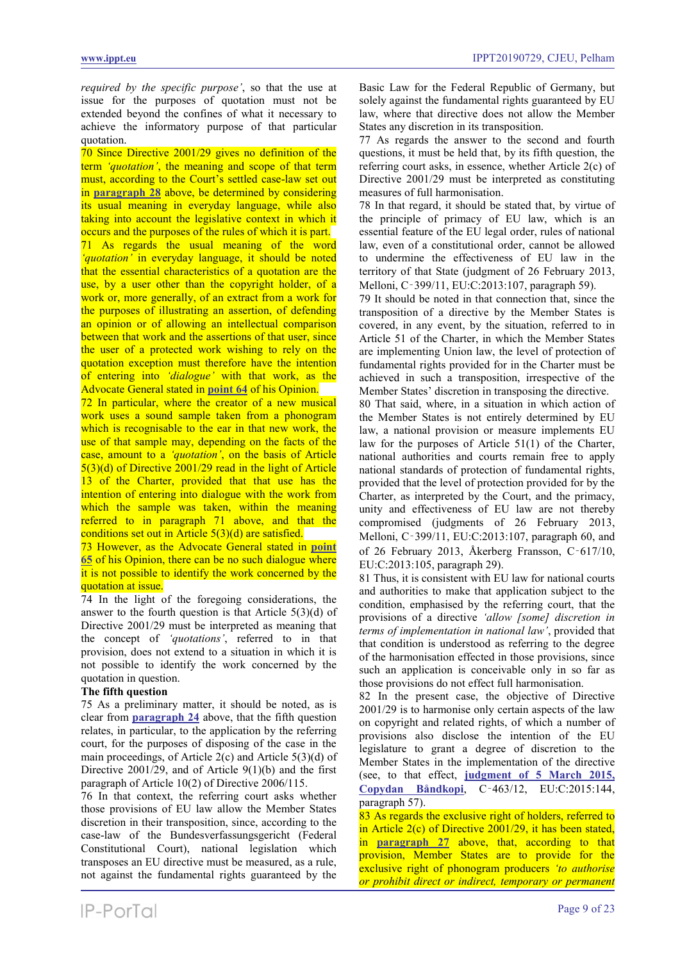*required by the specific purpose'*, so that the use at issue for the purposes of quotation must not be extended beyond the confines of what it necessary to achieve the informatory purpose of that particular quotation.

<span id="page-8-0"></span>70 Since Directive 2001/29 gives no definition of the term *'quotation'*, the meaning and scope of that term must, according to the Court's settled case-law set out in **[paragraph 28](#page-4-0)** above, be determined by considering its usual meaning in everyday language, while also taking into account the legislative context in which it occurs and the purposes of the rules of which it is part. 71 As regards the usual meaning of the word *'quotation'* in everyday language, it should be noted that the essential characteristics of a quotation are the use, by a user other than the copyright holder, of a work or, more generally, of an extract from a work for the purposes of illustrating an assertion, of defending an opinion or of allowing an intellectual comparison between that work and the assertions of that user, since the user of a protected work wishing to rely on the quotation exception must therefore have the intention of entering into *'dialogue'* with that work, as the Advocate General stated in **[point 64](#page-16-0)** of his Opinion.

<span id="page-8-1"></span>72 In particular, where the creator of a new musical work uses a sound sample taken from a phonogram which is recognisable to the ear in that new work, the use of that sample may, depending on the facts of the case, amount to a *'quotation'*, on the basis of Article 5(3)(d) of Directive 2001/29 read in the light of Article 13 of the Charter, provided that that use has the intention of entering into dialogue with the work from which the sample was taken, within the meaning referred to in paragraph 71 above, and that the conditions set out in Article 5(3)(d) are satisfied.

<span id="page-8-2"></span>73 However, as the Advocate General stated in **[point](#page-16-2)  [65](#page-16-2)** of his Opinion, there can be no such dialogue where it is not possible to identify the work concerned by the quotation at issue.

74 In the light of the foregoing considerations, the answer to the fourth question is that Article  $5(3)(d)$  of Directive 2001/29 must be interpreted as meaning that the concept of *'quotations'*, referred to in that provision, does not extend to a situation in which it is not possible to identify the work concerned by the quotation in question.

# **The fifth question**

75 As a preliminary matter, it should be noted, as is clear from **[paragraph 24](#page-4-1)** above, that the fifth question relates, in particular, to the application by the referring court, for the purposes of disposing of the case in the main proceedings, of Article 2(c) and Article 5(3)(d) of Directive 2001/29, and of Article 9(1)(b) and the first paragraph of Article 10(2) of Directive 2006/115.

76 In that context, the referring court asks whether those provisions of EU law allow the Member States discretion in their transposition, since, according to the case-law of the Bundesverfassungsgericht (Federal Constitutional Court), national legislation which transposes an EU directive must be measured, as a rule, not against the fundamental rights guaranteed by the Basic Law for the Federal Republic of Germany, but solely against the fundamental rights guaranteed by EU law, where that directive does not allow the Member States any discretion in its transposition.

77 As regards the answer to the second and fourth questions, it must be held that, by its fifth question, the referring court asks, in essence, whether Article 2(c) of Directive 2001/29 must be interpreted as constituting measures of full harmonisation.

78 In that regard, it should be stated that, by virtue of the principle of primacy of EU law, which is an essential feature of the EU legal order, rules of national law, even of a constitutional order, cannot be allowed to undermine the effectiveness of EU law in the territory of that State (judgment of 26 February 2013, Melloni, C‑399/11, EU:C:2013:107, paragraph 59).

79 It should be noted in that connection that, since the transposition of a directive by the Member States is covered, in any event, by the situation, referred to in Article 51 of the Charter, in which the Member States are implementing Union law, the level of protection of fundamental rights provided for in the Charter must be achieved in such a transposition, irrespective of the Member States' discretion in transposing the directive.

80 That said, where, in a situation in which action of the Member States is not entirely determined by EU law, a national provision or measure implements EU law for the purposes of Article 51(1) of the Charter, national authorities and courts remain free to apply national standards of protection of fundamental rights, provided that the level of protection provided for by the Charter, as interpreted by the Court, and the primacy, unity and effectiveness of EU law are not thereby compromised (judgments of 26 February 2013, Melloni, C‑399/11, EU:C:2013:107, paragraph 60, and of 26 February 2013, Åkerberg Fransson, C‑617/10, EU:C:2013:105, paragraph 29).

81 Thus, it is consistent with EU law for national courts and authorities to make that application subject to the condition, emphasised by the referring court, that the provisions of a directive *'allow [some] discretion in terms of implementation in national law'*, provided that that condition is understood as referring to the degree of the harmonisation effected in those provisions, since such an application is conceivable only in so far as those provisions do not effect full harmonisation.

82 In the present case, the objective of Directive 2001/29 is to harmonise only certain aspects of the law on copyright and related rights, of which a number of provisions also disclose the intention of the EU legislature to grant a degree of discretion to the Member States in the implementation of the directive (see, to that effect, **[judgment of 5 March 2015,](https://www.ippt.eu/sites/default/files/2015/IPPT20150305_CJEU_Copydan_v_Nokia.pdf)  [Copydan Båndkopi](https://www.ippt.eu/sites/default/files/2015/IPPT20150305_CJEU_Copydan_v_Nokia.pdf)**, C‑463/12, EU:C:2015:144,

paragraph 57). 83 As regards the exclusive right of holders, referred to in Article 2(c) of Directive 2001/29, it has been stated, in **[paragraph 27](#page-4-0)** above, that, according to that provision, Member States are to provide for the exclusive right of phonogram producers *'to authorise* 

*or prohibit direct or indirect, temporary or permanent*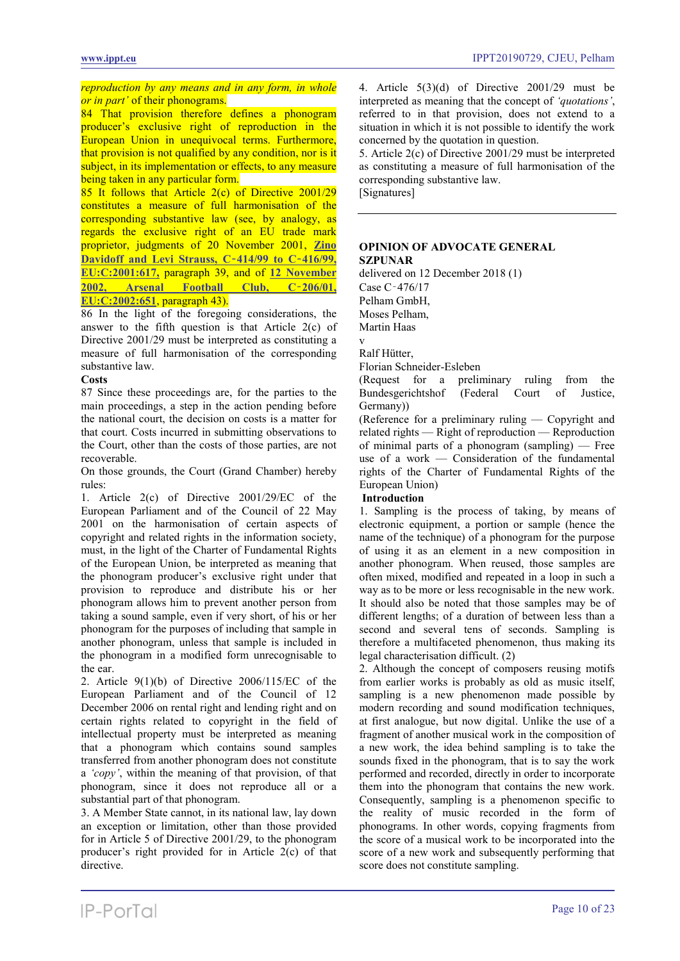*reproduction by any means and in any form, in whole or in part'* of their phonograms.

<span id="page-9-0"></span>84 That provision therefore defines a phonogram producer's exclusive right of reproduction in the European Union in unequivocal terms. Furthermore, that provision is not qualified by any condition, nor is it subject, in its implementation or effects, to any measure being taken in any particular form.

85 It follows that Article 2(c) of Directive 2001/29 constitutes a measure of full harmonisation of the corresponding substantive law (see, by analogy, as regards the exclusive right of an EU trade mark proprietor, judgments of 20 November 2001, **[Zino](https://www.ippt.eu/files/2001/IPPT20011120_ECJ_Davidoff.pdf)  [Davidoff and Levi](https://www.ippt.eu/files/2001/IPPT20011120_ECJ_Davidoff.pdf) Strauss, C**‑**414/99 to C**‑**416/99, [EU:C:2001:617,](https://www.ippt.eu/files/2001/IPPT20011120_ECJ_Davidoff.pdf)** paragraph 39, and of **[12 November](https://www.ippt.eu/files/2002/IPPT20021112_ECJ_Arsenal.pdf)  [2002, Arsenal Football Club, C](https://www.ippt.eu/files/2002/IPPT20021112_ECJ_Arsenal.pdf)**‑**206/01, [EU:C:2002:651](https://www.ippt.eu/files/2002/IPPT20021112_ECJ_Arsenal.pdf)**, paragraph 43).

86 In the light of the foregoing considerations, the answer to the fifth question is that Article 2(c) of Directive 2001/29 must be interpreted as constituting a measure of full harmonisation of the corresponding substantive law.

### **Costs**

87 Since these proceedings are, for the parties to the main proceedings, a step in the action pending before the national court, the decision on costs is a matter for that court. Costs incurred in submitting observations to the Court, other than the costs of those parties, are not recoverable.

On those grounds, the Court (Grand Chamber) hereby rules:

1. Article 2(c) of Directive 2001/29/EC of the European Parliament and of the Council of 22 May 2001 on the harmonisation of certain aspects of copyright and related rights in the information society, must, in the light of the Charter of Fundamental Rights of the European Union, be interpreted as meaning that the phonogram producer's exclusive right under that provision to reproduce and distribute his or her phonogram allows him to prevent another person from taking a sound sample, even if very short, of his or her phonogram for the purposes of including that sample in another phonogram, unless that sample is included in the phonogram in a modified form unrecognisable to the ear.

2. Article 9(1)(b) of Directive 2006/115/EC of the European Parliament and of the Council of 12 December 2006 on rental right and lending right and on certain rights related to copyright in the field of intellectual property must be interpreted as meaning that a phonogram which contains sound samples transferred from another phonogram does not constitute a *'copy'*, within the meaning of that provision, of that phonogram, since it does not reproduce all or a substantial part of that phonogram.

3. A Member State cannot, in its national law, lay down an exception or limitation, other than those provided for in Article 5 of Directive 2001/29, to the phonogram producer's right provided for in Article 2(c) of that directive.

4. Article 5(3)(d) of Directive 2001/29 must be interpreted as meaning that the concept of *'quotations'*, referred to in that provision, does not extend to a situation in which it is not possible to identify the work concerned by the quotation in question.

5. Article 2(c) of Directive 2001/29 must be interpreted as constituting a measure of full harmonisation of the corresponding substantive law.

[Signatures]

### <span id="page-9-1"></span>**OPINION OF ADVOCATE GENERAL SZPUNAR**

delivered on 12 December 2018 (1) Case C‑476/17 Pelham GmbH, Moses Pelham, Martin Haas

Ralf Hütter,

v

Florian Schneider-Esleben

(Request for a preliminary ruling from the Bundesgerichtshof (Federal Court of Justice, Germany))

(Reference for a preliminary ruling — Copyright and related rights — Right of reproduction — Reproduction of minimal parts of a phonogram (sampling) — Free use of a work — Consideration of the fundamental rights of the Charter of Fundamental Rights of the European Union)

# **Introduction**

1. Sampling is the process of taking, by means of electronic equipment, a portion or sample (hence the name of the technique) of a phonogram for the purpose of using it as an element in a new composition in another phonogram. When reused, those samples are often mixed, modified and repeated in a loop in such a way as to be more or less recognisable in the new work. It should also be noted that those samples may be of different lengths; of a duration of between less than a second and several tens of seconds. Sampling is therefore a multifaceted phenomenon, thus making its legal characterisation difficult. (2)

2. Although the concept of composers reusing motifs from earlier works is probably as old as music itself, sampling is a new phenomenon made possible by modern recording and sound modification techniques, at first analogue, but now digital. Unlike the use of a fragment of another musical work in the composition of a new work, the idea behind sampling is to take the sounds fixed in the phonogram, that is to say the work performed and recorded, directly in order to incorporate them into the phonogram that contains the new work. Consequently, sampling is a phenomenon specific to the reality of music recorded in the form of phonograms. In other words, copying fragments from the score of a musical work to be incorporated into the score of a new work and subsequently performing that score does not constitute sampling.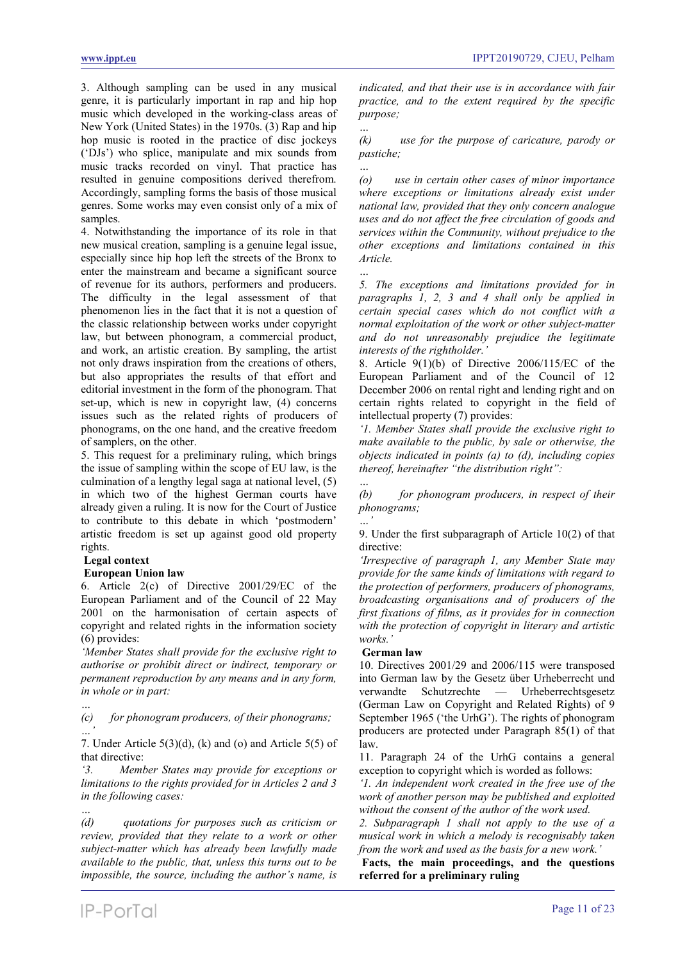3. Although sampling can be used in any musical genre, it is particularly important in rap and hip hop music which developed in the working-class areas of New York (United States) in the 1970s. (3) Rap and hip hop music is rooted in the practice of disc jockeys ('DJs') who splice, manipulate and mix sounds from music tracks recorded on vinyl. That practice has resulted in genuine compositions derived therefrom. Accordingly, sampling forms the basis of those musical genres. Some works may even consist only of a mix of samples.

4. Notwithstanding the importance of its role in that new musical creation, sampling is a genuine legal issue, especially since hip hop left the streets of the Bronx to enter the mainstream and became a significant source of revenue for its authors, performers and producers. The difficulty in the legal assessment of that phenomenon lies in the fact that it is not a question of the classic relationship between works under copyright law, but between phonogram, a commercial product, and work, an artistic creation. By sampling, the artist not only draws inspiration from the creations of others, but also appropriates the results of that effort and editorial investment in the form of the phonogram. That set-up, which is new in copyright law, (4) concerns issues such as the related rights of producers of phonograms, on the one hand, and the creative freedom of samplers, on the other.

5. This request for a preliminary ruling, which brings the issue of sampling within the scope of EU law, is the culmination of a lengthy legal saga at national level, (5) in which two of the highest German courts have already given a ruling. It is now for the Court of Justice to contribute to this debate in which 'postmodern' artistic freedom is set up against good old property rights.

# **Legal context**

#### **European Union law**

6. Article 2(c) of Directive 2001/29/EC of the European Parliament and of the Council of 22 May 2001 on the harmonisation of certain aspects of copyright and related rights in the information society (6) provides:

*'Member States shall provide for the exclusive right to authorise or prohibit direct or indirect, temporary or permanent reproduction by any means and in any form, in whole or in part:*

*… (c) for phonogram producers, of their phonograms; …'* 

7. Under Article  $5(3)(d)$ , (k) and (o) and Article  $5(5)$  of that directive:

*'3. Member States may provide for exceptions or limitations to the rights provided for in Articles 2 and 3 in the following cases:*

*(d) quotations for purposes such as criticism or review, provided that they relate to a work or other subject-matter which has already been lawfully made available to the public, that, unless this turns out to be impossible, the source, including the author's name, is*  *indicated, and that their use is in accordance with fair practice, and to the extent required by the specific purpose;*

*… (k) use for the purpose of caricature, parody or pastiche;*

*… (o) use in certain other cases of minor importance where exceptions or limitations already exist under national law, provided that they only concern analogue uses and do not affect the free circulation of goods and services within the Community, without prejudice to the other exceptions and limitations contained in this Article.*

*… 5. The exceptions and limitations provided for in paragraphs 1, 2, 3 and 4 shall only be applied in certain special cases which do not conflict with a normal exploitation of the work or other subject-matter and do not unreasonably prejudice the legitimate interests of the rightholder.'* 

8. Article 9(1)(b) of Directive 2006/115/EC of the European Parliament and of the Council of 12 December 2006 on rental right and lending right and on certain rights related to copyright in the field of intellectual property (7) provides:

*'1. Member States shall provide the exclusive right to make available to the public, by sale or otherwise, the objects indicated in points (a) to (d), including copies thereof, hereinafter "the distribution right":* 

*… (b) for phonogram producers, in respect of their phonograms;*

9. Under the first subparagraph of Article 10(2) of that directive:

*'Irrespective of paragraph 1, any Member State may provide for the same kinds of limitations with regard to the protection of performers, producers of phonograms, broadcasting organisations and of producers of the first fixations of films, as it provides for in connection with the protection of copyright in literary and artistic works.'* 

#### **German law**

*…'* 

10. Directives 2001/29 and 2006/115 were transposed into German law by the Gesetz über Urheberrecht und verwandte Schutzrechte — Urheberrechtsgesetz (German Law on Copyright and Related Rights) of 9 September 1965 ('the UrhG'). The rights of phonogram producers are protected under Paragraph 85(1) of that law.

11. Paragraph 24 of the UrhG contains a general exception to copyright which is worded as follows:

*'1. An independent work created in the free use of the work of another person may be published and exploited without the consent of the author of the work used.*

*2. Subparagraph 1 shall not apply to the use of a musical work in which a melody is recognisably taken from the work and used as the basis for a new work.'* 

**Facts, the main proceedings, and the questions referred for a preliminary ruling**

*…*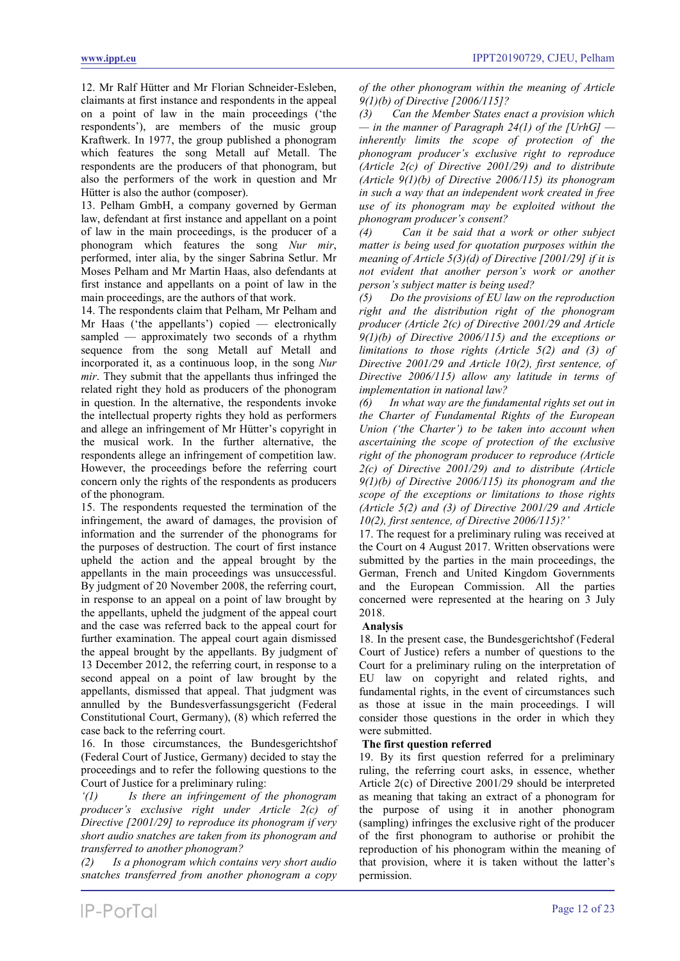12. Mr Ralf Hütter and Mr Florian Schneider-Esleben, claimants at first instance and respondents in the appeal on a point of law in the main proceedings ('the respondents'), are members of the music group Kraftwerk. In 1977, the group published a phonogram which features the song Metall auf Metall. The respondents are the producers of that phonogram, but also the performers of the work in question and Mr Hütter is also the author (composer).

13. Pelham GmbH, a company governed by German law, defendant at first instance and appellant on a point of law in the main proceedings, is the producer of a phonogram which features the song *Nur mir*, performed, inter alia, by the singer Sabrina Setlur. Mr Moses Pelham and Mr Martin Haas, also defendants at first instance and appellants on a point of law in the main proceedings, are the authors of that work.

14. The respondents claim that Pelham, Mr Pelham and Mr Haas ('the appellants') copied — electronically sampled — approximately two seconds of a rhythm sequence from the song Metall auf Metall and incorporated it, as a continuous loop, in the song *Nur mir*. They submit that the appellants thus infringed the related right they hold as producers of the phonogram in question. In the alternative, the respondents invoke the intellectual property rights they hold as performers and allege an infringement of Mr Hütter's copyright in the musical work. In the further alternative, the respondents allege an infringement of competition law. However, the proceedings before the referring court concern only the rights of the respondents as producers of the phonogram.

15. The respondents requested the termination of the infringement, the award of damages, the provision of information and the surrender of the phonograms for the purposes of destruction. The court of first instance upheld the action and the appeal brought by the appellants in the main proceedings was unsuccessful. By judgment of 20 November 2008, the referring court, in response to an appeal on a point of law brought by the appellants, upheld the judgment of the appeal court and the case was referred back to the appeal court for further examination. The appeal court again dismissed the appeal brought by the appellants. By judgment of 13 December 2012, the referring court, in response to a second appeal on a point of law brought by the appellants, dismissed that appeal. That judgment was annulled by the Bundesverfassungsgericht (Federal Constitutional Court, Germany), (8) which referred the case back to the referring court.

16. In those circumstances, the Bundesgerichtshof (Federal Court of Justice, Germany) decided to stay the proceedings and to refer the following questions to the Court of Justice for a preliminary ruling:

*'(1) Is there an infringement of the phonogram producer's exclusive right under Article 2(c) of Directive [2001/29] to reproduce its phonogram if very short audio snatches are taken from its phonogram and transferred to another phonogram?*

*(2) Is a phonogram which contains very short audio snatches transferred from another phonogram a copy*  *of the other phonogram within the meaning of Article 9(1)(b) of Directive [2006/115]?*

*(3) Can the Member States enact a provision which — in the manner of Paragraph 24(1) of the [UrhG] inherently limits the scope of protection of the phonogram producer's exclusive right to reproduce (Article 2(c) of Directive 2001/29) and to distribute (Article 9(1)(b) of Directive 2006/115) its phonogram in such a way that an independent work created in free use of its phonogram may be exploited without the phonogram producer's consent?*

*(4) Can it be said that a work or other subject matter is being used for quotation purposes within the meaning of Article 5(3)(d) of Directive [2001/29] if it is not evident that another person's work or another person's subject matter is being used?*

*(5) Do the provisions of EU law on the reproduction right and the distribution right of the phonogram producer (Article 2(c) of Directive 2001/29 and Article 9(1)(b) of Directive 2006/115) and the exceptions or limitations to those rights (Article 5(2) and (3) of Directive 2001/29 and Article 10(2), first sentence, of Directive 2006/115) allow any latitude in terms of implementation in national law?*

*(6) In what way are the fundamental rights set out in the Charter of Fundamental Rights of the European Union ('the Charter') to be taken into account when ascertaining the scope of protection of the exclusive right of the phonogram producer to reproduce (Article 2(c) of Directive 2001/29) and to distribute (Article 9(1)(b) of Directive 2006/115) its phonogram and the scope of the exceptions or limitations to those rights (Article 5(2) and (3) of Directive 2001/29 and Article 10(2), first sentence, of Directive 2006/115)?'* 

17. The request for a preliminary ruling was received at the Court on 4 August 2017. Written observations were submitted by the parties in the main proceedings, the German, French and United Kingdom Governments and the European Commission. All the parties concerned were represented at the hearing on 3 July 2018.

# **Analysis**

18. In the present case, the Bundesgerichtshof (Federal Court of Justice) refers a number of questions to the Court for a preliminary ruling on the interpretation of EU law on copyright and related rights, and fundamental rights, in the event of circumstances such as those at issue in the main proceedings. I will consider those questions in the order in which they were submitted.

# **The first question referred**

19. By its first question referred for a preliminary ruling, the referring court asks, in essence, whether Article 2(c) of Directive 2001/29 should be interpreted as meaning that taking an extract of a phonogram for the purpose of using it in another phonogram (sampling) infringes the exclusive right of the producer of the first phonogram to authorise or prohibit the reproduction of his phonogram within the meaning of that provision, where it is taken without the latter's permission.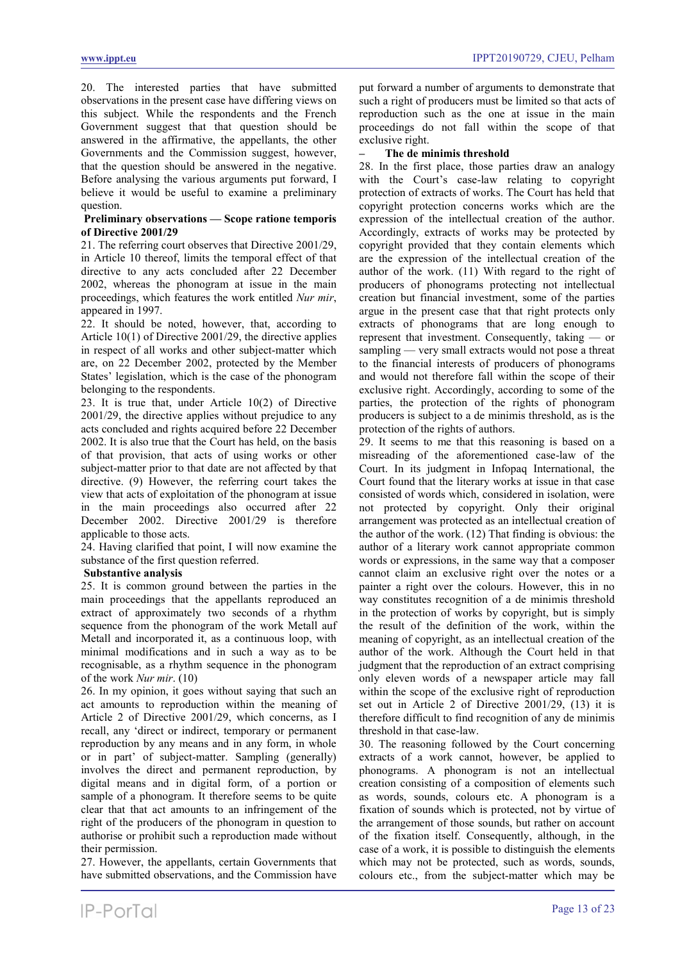20. The interested parties that have submitted observations in the present case have differing views on this subject. While the respondents and the French Government suggest that that question should be answered in the affirmative, the appellants, the other Governments and the Commission suggest, however, that the question should be answered in the negative. Before analysing the various arguments put forward, I believe it would be useful to examine a preliminary question.

### **Preliminary observations — Scope ratione temporis of Directive 2001/29**

21. The referring court observes that Directive 2001/29, in Article 10 thereof, limits the temporal effect of that directive to any acts concluded after 22 December 2002, whereas the phonogram at issue in the main proceedings, which features the work entitled *Nur mir*, appeared in 1997.

22. It should be noted, however, that, according to Article 10(1) of Directive 2001/29, the directive applies in respect of all works and other subject-matter which are, on 22 December 2002, protected by the Member States' legislation, which is the case of the phonogram belonging to the respondents.

23. It is true that, under Article 10(2) of Directive 2001/29, the directive applies without prejudice to any acts concluded and rights acquired before 22 December 2002. It is also true that the Court has held, on the basis of that provision, that acts of using works or other subject-matter prior to that date are not affected by that directive. (9) However, the referring court takes the view that acts of exploitation of the phonogram at issue in the main proceedings also occurred after 22 December 2002. Directive 2001/29 is therefore applicable to those acts.

24. Having clarified that point, I will now examine the substance of the first question referred.

# **Substantive analysis**

25. It is common ground between the parties in the main proceedings that the appellants reproduced an extract of approximately two seconds of a rhythm sequence from the phonogram of the work Metall auf Metall and incorporated it, as a continuous loop, with minimal modifications and in such a way as to be recognisable, as a rhythm sequence in the phonogram of the work *Nur mir*. (10)

26. In my opinion, it goes without saying that such an act amounts to reproduction within the meaning of Article 2 of Directive 2001/29, which concerns, as I recall, any 'direct or indirect, temporary or permanent reproduction by any means and in any form, in whole or in part' of subject-matter. Sampling (generally) involves the direct and permanent reproduction, by digital means and in digital form, of a portion or sample of a phonogram. It therefore seems to be quite clear that that act amounts to an infringement of the right of the producers of the phonogram in question to authorise or prohibit such a reproduction made without their permission.

27. However, the appellants, certain Governments that have submitted observations, and the Commission have put forward a number of arguments to demonstrate that such a right of producers must be limited so that acts of reproduction such as the one at issue in the main proceedings do not fall within the scope of that exclusive right.

### **– The de minimis threshold**

28. In the first place, those parties draw an analogy with the Court's case-law relating to copyright protection of extracts of works. The Court has held that copyright protection concerns works which are the expression of the intellectual creation of the author. Accordingly, extracts of works may be protected by copyright provided that they contain elements which are the expression of the intellectual creation of the author of the work. (11) With regard to the right of producers of phonograms protecting not intellectual creation but financial investment, some of the parties argue in the present case that that right protects only extracts of phonograms that are long enough to represent that investment. Consequently, taking — or sampling — very small extracts would not pose a threat to the financial interests of producers of phonograms and would not therefore fall within the scope of their exclusive right. Accordingly, according to some of the parties, the protection of the rights of phonogram producers is subject to a de minimis threshold, as is the protection of the rights of authors.

29. It seems to me that this reasoning is based on a misreading of the aforementioned case-law of the Court. In its judgment in Infopaq International, the Court found that the literary works at issue in that case consisted of words which, considered in isolation, were not protected by copyright. Only their original arrangement was protected as an intellectual creation of the author of the work. (12) That finding is obvious: the author of a literary work cannot appropriate common words or expressions, in the same way that a composer cannot claim an exclusive right over the notes or a painter a right over the colours. However, this in no way constitutes recognition of a de minimis threshold in the protection of works by copyright, but is simply the result of the definition of the work, within the meaning of copyright, as an intellectual creation of the author of the work. Although the Court held in that judgment that the reproduction of an extract comprising only eleven words of a newspaper article may fall within the scope of the exclusive right of reproduction set out in Article 2 of Directive 2001/29, (13) it is therefore difficult to find recognition of any de minimis threshold in that case-law.

30. The reasoning followed by the Court concerning extracts of a work cannot, however, be applied to phonograms. A phonogram is not an intellectual creation consisting of a composition of elements such as words, sounds, colours etc. A phonogram is a fixation of sounds which is protected, not by virtue of the arrangement of those sounds, but rather on account of the fixation itself. Consequently, although, in the case of a work, it is possible to distinguish the elements which may not be protected, such as words, sounds, colours etc., from the subject-matter which may be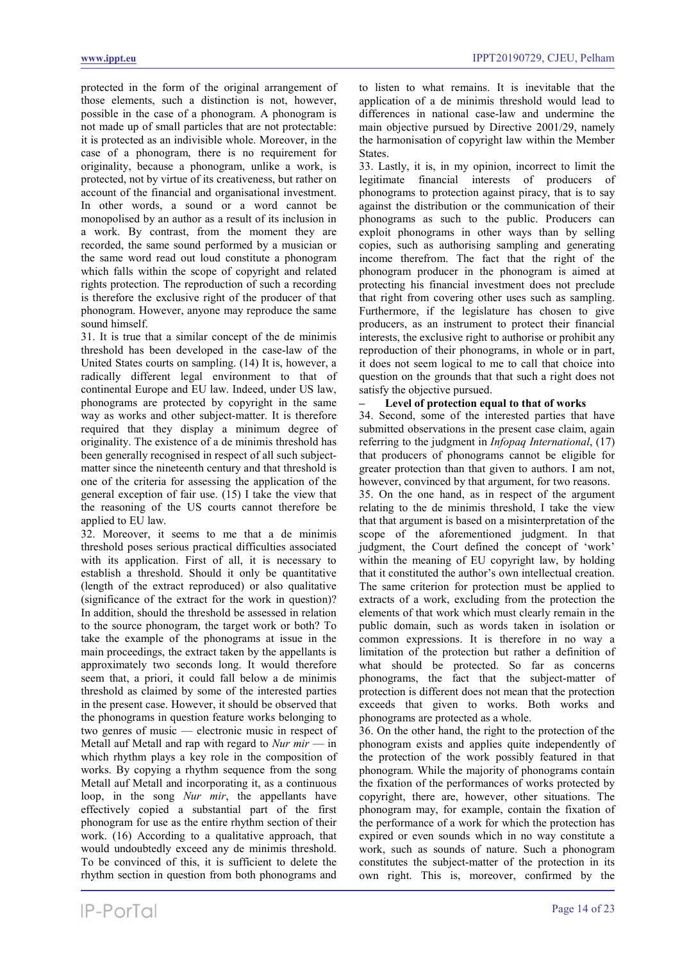protected in the form of the original arrangement of those elements, such a distinction is not, however, possible in the case of a phonogram. A phonogram is not made up of small particles that are not protectable: it is protected as an indivisible whole. Moreover, in the case of a phonogram, there is no requirement for originality, because a phonogram, unlike a work, is protected, not by virtue of its creativeness, but rather on account of the financial and organisational investment. In other words, a sound or a word cannot be monopolised by an author as a result of its inclusion in a work. By contrast, from the moment they are recorded, the same sound performed by a musician or the same word read out loud constitute a phonogram which falls within the scope of copyright and related rights protection. The reproduction of such a recording is therefore the exclusive right of the producer of that phonogram. However, anyone may reproduce the same sound himself.

31. It is true that a similar concept of the de minimis threshold has been developed in the case-law of the United States courts on sampling. (14) It is, however, a radically different legal environment to that of continental Europe and EU law. Indeed, under US law, phonograms are protected by copyright in the same way as works and other subject-matter. It is therefore required that they display a minimum degree of originality. The existence of a de minimis threshold has been generally recognised in respect of all such subjectmatter since the nineteenth century and that threshold is one of the criteria for assessing the application of the general exception of fair use. (15) I take the view that the reasoning of the US courts cannot therefore be applied to EU law.

32. Moreover, it seems to me that a de minimis threshold poses serious practical difficulties associated with its application. First of all, it is necessary to establish a threshold. Should it only be quantitative (length of the extract reproduced) or also qualitative (significance of the extract for the work in question)? In addition, should the threshold be assessed in relation to the source phonogram, the target work or both? To take the example of the phonograms at issue in the main proceedings, the extract taken by the appellants is approximately two seconds long. It would therefore seem that, a priori, it could fall below a de minimis threshold as claimed by some of the interested parties in the present case. However, it should be observed that the phonograms in question feature works belonging to two genres of music — electronic music in respect of Metall auf Metall and rap with regard to *Nur mir* — in which rhythm plays a key role in the composition of works. By copying a rhythm sequence from the song Metall auf Metall and incorporating it, as a continuous loop, in the song *Nur mir*, the appellants have effectively copied a substantial part of the first phonogram for use as the entire rhythm section of their work. (16) According to a qualitative approach, that would undoubtedly exceed any de minimis threshold. To be convinced of this, it is sufficient to delete the rhythm section in question from both phonograms and

33. Lastly, it is, in my opinion, incorrect to limit the legitimate financial interests of producers of legitimate financial interests of producers phonograms to protection against piracy, that is to say against the distribution or the communication of their phonograms as such to the public. Producers can exploit phonograms in other ways than by selling copies, such as authorising sampling and generating income therefrom. The fact that the right of the phonogram producer in the phonogram is aimed at protecting his financial investment does not preclude that right from covering other uses such as sampling. Furthermore, if the legislature has chosen to give producers, as an instrument to protect their financial interests, the exclusive right to authorise or prohibit any reproduction of their phonograms, in whole or in part, it does not seem logical to me to call that choice into question on the grounds that that such a right does not satisfy the objective pursued.

### **– Level of protection equal to that of works**

34. Second, some of the interested parties that have submitted observations in the present case claim, again referring to the judgment in *Infopaq International*, (17) that producers of phonograms cannot be eligible for greater protection than that given to authors. I am not, however, convinced by that argument, for two reasons. 35. On the one hand, as in respect of the argument relating to the de minimis threshold, I take the view that that argument is based on a misinterpretation of the scope of the aforementioned judgment. In that judgment, the Court defined the concept of 'work' within the meaning of EU copyright law, by holding that it constituted the author's own intellectual creation. The same criterion for protection must be applied to extracts of a work, excluding from the protection the elements of that work which must clearly remain in the public domain, such as words taken in isolation or common expressions. It is therefore in no way a limitation of the protection but rather a definition of what should be protected. So far as concerns phonograms, the fact that the subject-matter of protection is different does not mean that the protection exceeds that given to works. Both works and phonograms are protected as a whole.

36. On the other hand, the right to the protection of the phonogram exists and applies quite independently of the protection of the work possibly featured in that phonogram. While the majority of phonograms contain the fixation of the performances of works protected by copyright, there are, however, other situations. The phonogram may, for example, contain the fixation of the performance of a work for which the protection has expired or even sounds which in no way constitute a work, such as sounds of nature. Such a phonogram constitutes the subject-matter of the protection in its own right. This is, moreover, confirmed by the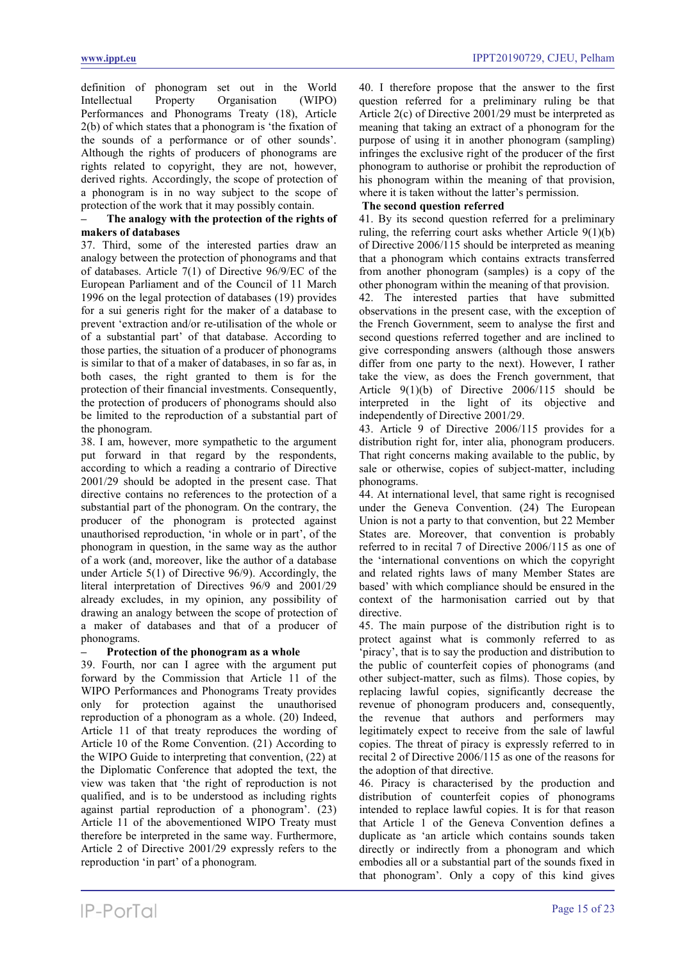definition of phonogram set out in the World<br>Intellectual Property Organisation (WIPO) Intellectual Property Organisation (WIPO) Performances and Phonograms Treaty (18), Article 2(b) of which states that a phonogram is 'the fixation of the sounds of a performance or of other sounds'. Although the rights of producers of phonograms are rights related to copyright, they are not, however, derived rights. Accordingly, the scope of protection of a phonogram is in no way subject to the scope of protection of the work that it may possibly contain.

# **– The analogy with the protection of the rights of makers of databases**

37. Third, some of the interested parties draw an analogy between the protection of phonograms and that of databases. Article 7(1) of Directive 96/9/EC of the European Parliament and of the Council of 11 March 1996 on the legal protection of databases (19) provides for a sui generis right for the maker of a database to prevent 'extraction and/or re-utilisation of the whole or of a substantial part' of that database. According to those parties, the situation of a producer of phonograms is similar to that of a maker of databases, in so far as, in both cases, the right granted to them is for the protection of their financial investments. Consequently, the protection of producers of phonograms should also be limited to the reproduction of a substantial part of the phonogram.

38. I am, however, more sympathetic to the argument put forward in that regard by the respondents, according to which a reading a contrario of Directive 2001/29 should be adopted in the present case. That directive contains no references to the protection of a substantial part of the phonogram. On the contrary, the producer of the phonogram is protected against unauthorised reproduction, 'in whole or in part', of the phonogram in question, in the same way as the author of a work (and, moreover, like the author of a database under Article 5(1) of Directive 96/9). Accordingly, the literal interpretation of Directives 96/9 and 2001/29 already excludes, in my opinion, any possibility of drawing an analogy between the scope of protection of a maker of databases and that of a producer of phonograms.

# **– Protection of the phonogram as a whole**

39. Fourth, nor can I agree with the argument put forward by the Commission that Article 11 of the WIPO Performances and Phonograms Treaty provides only for protection against the unauthorised reproduction of a phonogram as a whole. (20) Indeed, Article 11 of that treaty reproduces the wording of Article 10 of the Rome Convention. (21) According to the WIPO Guide to interpreting that convention, (22) at the Diplomatic Conference that adopted the text, the view was taken that 'the right of reproduction is not qualified, and is to be understood as including rights against partial reproduction of a phonogram'. (23) Article 11 of the abovementioned WIPO Treaty must therefore be interpreted in the same way. Furthermore, Article 2 of Directive 2001/29 expressly refers to the reproduction 'in part' of a phonogram.

40. I therefore propose that the answer to the first question referred for a preliminary ruling be that Article 2(c) of Directive 2001/29 must be interpreted as meaning that taking an extract of a phonogram for the purpose of using it in another phonogram (sampling) infringes the exclusive right of the producer of the first phonogram to authorise or prohibit the reproduction of his phonogram within the meaning of that provision, where it is taken without the latter's permission.

# **The second question referred**

41. By its second question referred for a preliminary ruling, the referring court asks whether Article 9(1)(b) of Directive 2006/115 should be interpreted as meaning that a phonogram which contains extracts transferred from another phonogram (samples) is a copy of the other phonogram within the meaning of that provision.

42. The interested parties that have submitted observations in the present case, with the exception of the French Government, seem to analyse the first and second questions referred together and are inclined to give corresponding answers (although those answers differ from one party to the next). However, I rather take the view, as does the French government, that Article 9(1)(b) of Directive 2006/115 should be interpreted in the light of its objective and independently of Directive 2001/29.

43. Article 9 of Directive 2006/115 provides for a distribution right for, inter alia, phonogram producers. That right concerns making available to the public, by sale or otherwise, copies of subject-matter, including phonograms.

44. At international level, that same right is recognised under the Geneva Convention. (24) The European Union is not a party to that convention, but 22 Member States are. Moreover, that convention is probably referred to in recital 7 of Directive 2006/115 as one of the 'international conventions on which the copyright and related rights laws of many Member States are based' with which compliance should be ensured in the context of the harmonisation carried out by that directive.

<span id="page-14-0"></span>45. The main purpose of the distribution right is to protect against what is commonly referred to as 'piracy', that is to say the production and distribution to the public of counterfeit copies of phonograms (and other subject-matter, such as films). Those copies, by replacing lawful copies, significantly decrease the revenue of phonogram producers and, consequently, the revenue that authors and performers may legitimately expect to receive from the sale of lawful copies. The threat of piracy is expressly referred to in recital 2 of Directive 2006/115 as one of the reasons for the adoption of that directive.

<span id="page-14-1"></span>46. Piracy is characterised by the production and distribution of counterfeit copies of phonograms intended to replace lawful copies. It is for that reason that Article 1 of the Geneva Convention defines a duplicate as 'an article which contains sounds taken directly or indirectly from a phonogram and which embodies all or a substantial part of the sounds fixed in that phonogram'. Only a copy of this kind gives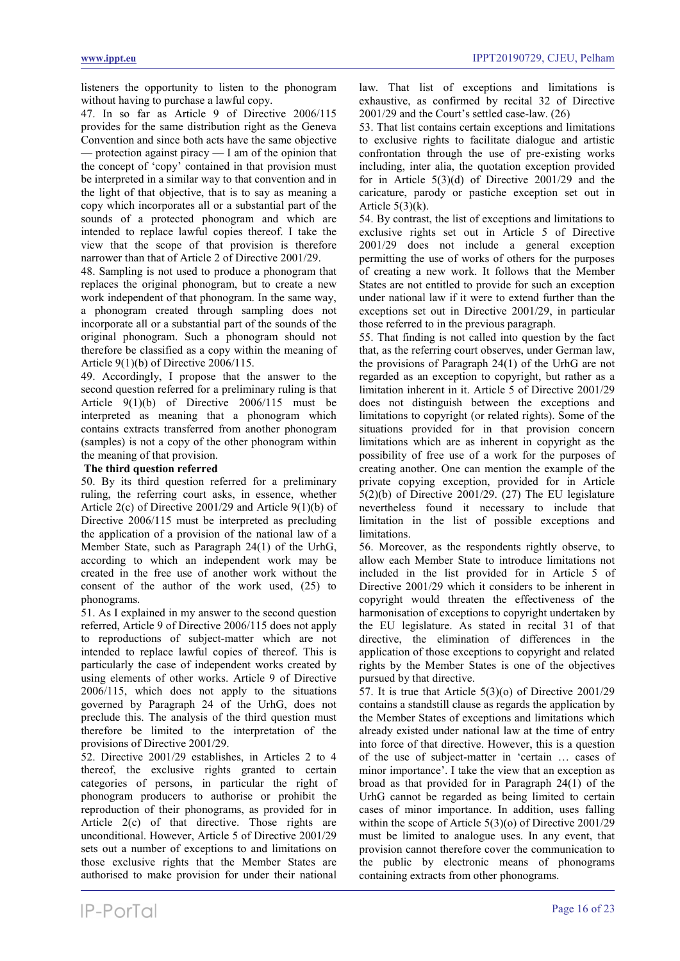listeners the opportunity to listen to the phonogram without having to purchase a lawful copy.

47. In so far as Article 9 of Directive 2006/115 provides for the same distribution right as the Geneva Convention and since both acts have the same objective — protection against piracy — I am of the opinion that the concept of 'copy' contained in that provision must be interpreted in a similar way to that convention and in the light of that objective, that is to say as meaning a copy which incorporates all or a substantial part of the sounds of a protected phonogram and which are intended to replace lawful copies thereof. I take the view that the scope of that provision is therefore narrower than that of Article 2 of Directive 2001/29.

48. Sampling is not used to produce a phonogram that replaces the original phonogram, but to create a new work independent of that phonogram. In the same way, a phonogram created through sampling does not incorporate all or a substantial part of the sounds of the original phonogram. Such a phonogram should not therefore be classified as a copy within the meaning of Article 9(1)(b) of Directive 2006/115.

49. Accordingly, I propose that the answer to the second question referred for a preliminary ruling is that Article 9(1)(b) of Directive 2006/115 must be interpreted as meaning that a phonogram which contains extracts transferred from another phonogram (samples) is not a copy of the other phonogram within the meaning of that provision.

### **The third question referred**

50. By its third question referred for a preliminary ruling, the referring court asks, in essence, whether Article 2(c) of Directive 2001/29 and Article 9(1)(b) of Directive 2006/115 must be interpreted as precluding the application of a provision of the national law of a Member State, such as Paragraph 24(1) of the UrhG, according to which an independent work may be created in the free use of another work without the consent of the author of the work used, (25) to phonograms.

51. As I explained in my answer to the second question referred, Article 9 of Directive 2006/115 does not apply to reproductions of subject-matter which are not intended to replace lawful copies of thereof. This is particularly the case of independent works created by using elements of other works. Article 9 of Directive 2006/115, which does not apply to the situations governed by Paragraph 24 of the UrhG, does not preclude this. The analysis of the third question must therefore be limited to the interpretation of the provisions of Directive 2001/29.

52. Directive 2001/29 establishes, in Articles 2 to 4 thereof, the exclusive rights granted to certain categories of persons, in particular the right of phonogram producers to authorise or prohibit the reproduction of their phonograms, as provided for in Article 2(c) of that directive. Those rights are unconditional. However, Article 5 of Directive 2001/29 sets out a number of exceptions to and limitations on those exclusive rights that the Member States are authorised to make provision for under their national

law. That list of exceptions and limitations is exhaustive, as confirmed by recital 32 of Directive 2001/29 and the Court's settled case-law. (26)

53. That list contains certain exceptions and limitations to exclusive rights to facilitate dialogue and artistic confrontation through the use of pre-existing works including, inter alia, the quotation exception provided for in Article 5(3)(d) of Directive 2001/29 and the caricature, parody or pastiche exception set out in Article  $5(3)(k)$ .

54. By contrast, the list of exceptions and limitations to exclusive rights set out in Article 5 of Directive 2001/29 does not include a general exception permitting the use of works of others for the purposes of creating a new work. It follows that the Member States are not entitled to provide for such an exception under national law if it were to extend further than the exceptions set out in Directive 2001/29, in particular those referred to in the previous paragraph.

55. That finding is not called into question by the fact that, as the referring court observes, under German law, the provisions of Paragraph 24(1) of the UrhG are not regarded as an exception to copyright, but rather as a limitation inherent in it. Article 5 of Directive 2001/29 does not distinguish between the exceptions and limitations to copyright (or related rights). Some of the situations provided for in that provision concern limitations which are as inherent in copyright as the possibility of free use of a work for the purposes of creating another. One can mention the example of the private copying exception, provided for in Article 5(2)(b) of Directive 2001/29. (27) The EU legislature nevertheless found it necessary to include that limitation in the list of possible exceptions and **limitations** 

56. Moreover, as the respondents rightly observe, to allow each Member State to introduce limitations not included in the list provided for in Article 5 of Directive 2001/29 which it considers to be inherent in copyright would threaten the effectiveness of the harmonisation of exceptions to copyright undertaken by the EU legislature. As stated in recital 31 of that directive, the elimination of differences in the application of those exceptions to copyright and related rights by the Member States is one of the objectives pursued by that directive.

57. It is true that Article 5(3)(o) of Directive 2001/29 contains a standstill clause as regards the application by the Member States of exceptions and limitations which already existed under national law at the time of entry into force of that directive. However, this is a question of the use of subject-matter in 'certain … cases of minor importance'. I take the view that an exception as broad as that provided for in Paragraph 24(1) of the UrhG cannot be regarded as being limited to certain cases of minor importance. In addition, uses falling within the scope of Article 5(3)(o) of Directive 2001/29 must be limited to analogue uses. In any event, that provision cannot therefore cover the communication to the public by electronic means of phonograms containing extracts from other phonograms.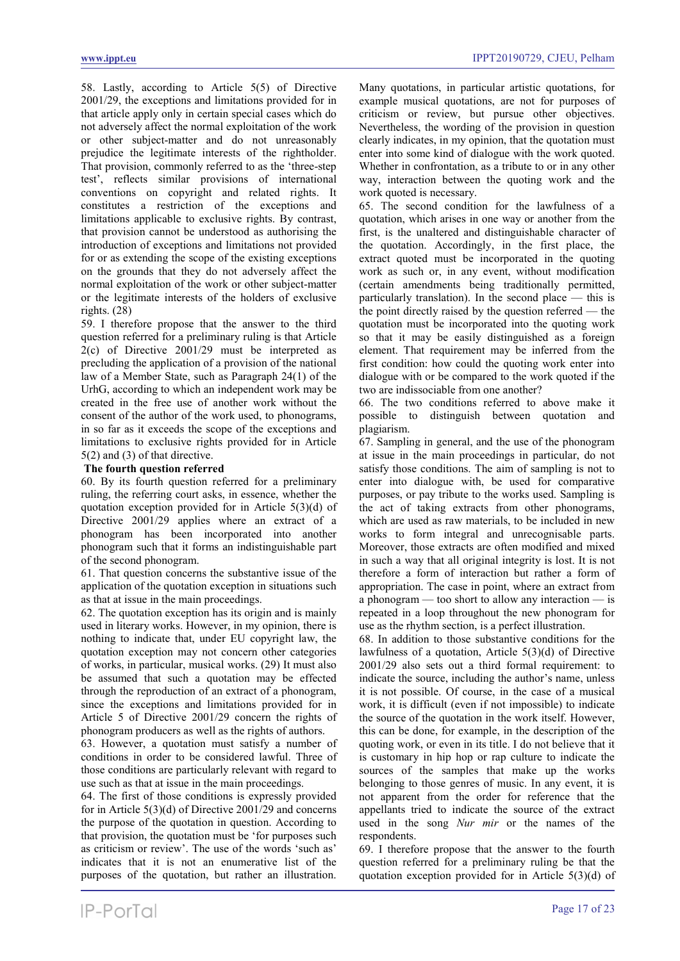58. Lastly, according to Article 5(5) of Directive 2001/29, the exceptions and limitations provided for in that article apply only in certain special cases which do not adversely affect the normal exploitation of the work or other subject-matter and do not unreasonably prejudice the legitimate interests of the rightholder. That provision, commonly referred to as the 'three-step test', reflects similar provisions of international conventions on copyright and related rights. It constitutes a restriction of the exceptions and limitations applicable to exclusive rights. By contrast, that provision cannot be understood as authorising the introduction of exceptions and limitations not provided for or as extending the scope of the existing exceptions on the grounds that they do not adversely affect the normal exploitation of the work or other subject-matter or the legitimate interests of the holders of exclusive rights. (28)

59. I therefore propose that the answer to the third question referred for a preliminary ruling is that Article 2(c) of Directive 2001/29 must be interpreted as precluding the application of a provision of the national law of a Member State, such as Paragraph 24(1) of the UrhG, according to which an independent work may be created in the free use of another work without the consent of the author of the work used, to phonograms, in so far as it exceeds the scope of the exceptions and limitations to exclusive rights provided for in Article 5(2) and (3) of that directive.

# **The fourth question referred**

60. By its fourth question referred for a preliminary ruling, the referring court asks, in essence, whether the quotation exception provided for in Article 5(3)(d) of Directive 2001/29 applies where an extract of a phonogram has been incorporated into another phonogram such that it forms an indistinguishable part of the second phonogram.

61. That question concerns the substantive issue of the application of the quotation exception in situations such as that at issue in the main proceedings.

<span id="page-16-1"></span>62. The quotation exception has its origin and is mainly used in literary works. However, in my opinion, there is nothing to indicate that, under EU copyright law, the quotation exception may not concern other categories of works, in particular, musical works. (29) It must also be assumed that such a quotation may be effected through the reproduction of an extract of a phonogram, since the exceptions and limitations provided for in Article 5 of Directive 2001/29 concern the rights of phonogram producers as well as the rights of authors.

63. However, a quotation must satisfy a number of conditions in order to be considered lawful. Three of those conditions are particularly relevant with regard to use such as that at issue in the main proceedings.

<span id="page-16-0"></span>64. The first of those conditions is expressly provided for in Article 5(3)(d) of Directive 2001/29 and concerns the purpose of the quotation in question. According to that provision, the quotation must be 'for purposes such as criticism or review'. The use of the words 'such as' indicates that it is not an enumerative list of the purposes of the quotation, but rather an illustration.

Many quotations, in particular artistic quotations, for example musical quotations, are not for purposes of criticism or review, but pursue other objectives. Nevertheless, the wording of the provision in question clearly indicates, in my opinion, that the quotation must enter into some kind of dialogue with the work quoted. Whether in confrontation, as a tribute to or in any other way, interaction between the quoting work and the work quoted is necessary.

<span id="page-16-2"></span>65. The second condition for the lawfulness of a quotation, which arises in one way or another from the first, is the unaltered and distinguishable character of the quotation. Accordingly, in the first place, the extract quoted must be incorporated in the quoting work as such or, in any event, without modification (certain amendments being traditionally permitted, particularly translation). In the second place — this is the point directly raised by the question referred — the quotation must be incorporated into the quoting work so that it may be easily distinguished as a foreign element. That requirement may be inferred from the first condition: how could the quoting work enter into dialogue with or be compared to the work quoted if the two are indissociable from one another?

66. The two conditions referred to above make it possible to distinguish between quotation and plagiarism.

67. Sampling in general, and the use of the phonogram at issue in the main proceedings in particular, do not satisfy those conditions. The aim of sampling is not to enter into dialogue with, be used for comparative purposes, or pay tribute to the works used. Sampling is the act of taking extracts from other phonograms, which are used as raw materials, to be included in new works to form integral and unrecognisable parts. Moreover, those extracts are often modified and mixed in such a way that all original integrity is lost. It is not therefore a form of interaction but rather a form of appropriation. The case in point, where an extract from a phonogram — too short to allow any interaction — is repeated in a loop throughout the new phonogram for use as the rhythm section, is a perfect illustration.

68. In addition to those substantive conditions for the lawfulness of a quotation, Article 5(3)(d) of Directive 2001/29 also sets out a third formal requirement: to indicate the source, including the author's name, unless it is not possible. Of course, in the case of a musical work, it is difficult (even if not impossible) to indicate the source of the quotation in the work itself. However, this can be done, for example, in the description of the quoting work, or even in its title. I do not believe that it is customary in hip hop or rap culture to indicate the sources of the samples that make up the works belonging to those genres of music. In any event, it is not apparent from the order for reference that the appellants tried to indicate the source of the extract used in the song *Nur mir* or the names of the respondents.

69. I therefore propose that the answer to the fourth question referred for a preliminary ruling be that the quotation exception provided for in Article 5(3)(d) of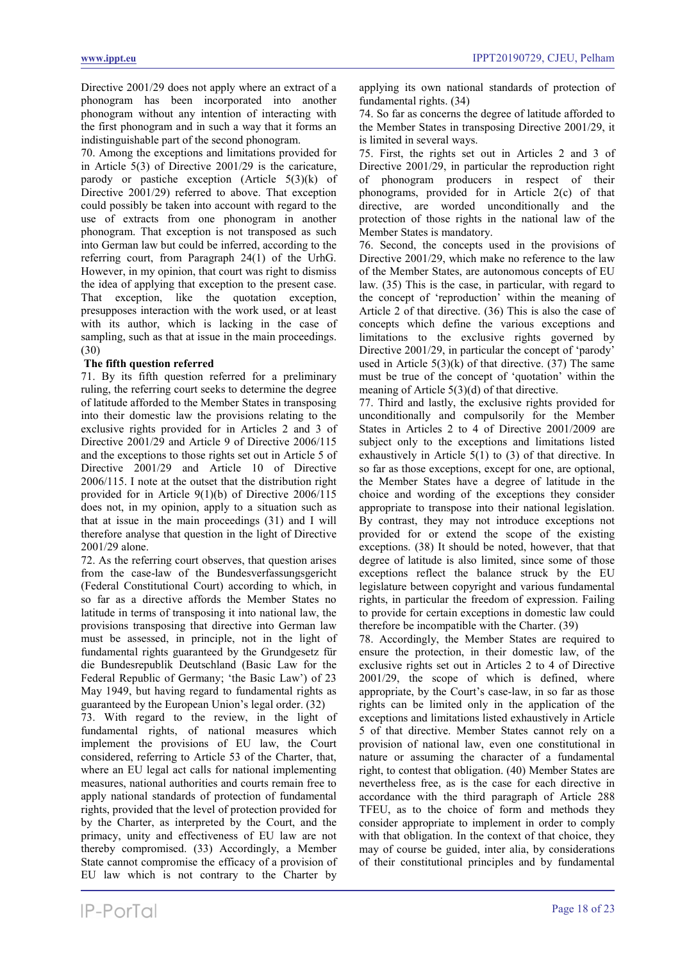Directive 2001/29 does not apply where an extract of a phonogram has been incorporated into another phonogram without any intention of interacting with the first phonogram and in such a way that it forms an indistinguishable part of the second phonogram.

70. Among the exceptions and limitations provided for in Article 5(3) of Directive 2001/29 is the caricature, parody or pastiche exception (Article 5(3)(k) of Directive 2001/29) referred to above. That exception could possibly be taken into account with regard to the use of extracts from one phonogram in another phonogram. That exception is not transposed as such into German law but could be inferred, according to the referring court, from Paragraph 24(1) of the UrhG. However, in my opinion, that court was right to dismiss the idea of applying that exception to the present case. That exception, like the quotation exception, presupposes interaction with the work used, or at least with its author, which is lacking in the case of sampling, such as that at issue in the main proceedings. (30)

# **The fifth question referred**

71. By its fifth question referred for a preliminary ruling, the referring court seeks to determine the degree of latitude afforded to the Member States in transposing into their domestic law the provisions relating to the exclusive rights provided for in Articles 2 and 3 of Directive 2001/29 and Article 9 of Directive 2006/115 and the exceptions to those rights set out in Article 5 of Directive 2001/29 and Article 10 of Directive 2006/115. I note at the outset that the distribution right provided for in Article 9(1)(b) of Directive 2006/115 does not, in my opinion, apply to a situation such as that at issue in the main proceedings (31) and I will therefore analyse that question in the light of Directive 2001/29 alone.

72. As the referring court observes, that question arises from the case-law of the Bundesverfassungsgericht (Federal Constitutional Court) according to which, in so far as a directive affords the Member States no latitude in terms of transposing it into national law, the provisions transposing that directive into German law must be assessed, in principle, not in the light of fundamental rights guaranteed by the Grundgesetz für die Bundesrepublik Deutschland (Basic Law for the Federal Republic of Germany; 'the Basic Law') of 23 May 1949, but having regard to fundamental rights as guaranteed by the European Union's legal order. (32)

73. With regard to the review, in the light of fundamental rights, of national measures which implement the provisions of EU law, the Court considered, referring to Article 53 of the Charter, that, where an EU legal act calls for national implementing measures, national authorities and courts remain free to apply national standards of protection of fundamental rights, provided that the level of protection provided for by the Charter, as interpreted by the Court, and the primacy, unity and effectiveness of EU law are not thereby compromised. (33) Accordingly, a Member State cannot compromise the efficacy of a provision of EU law which is not contrary to the Charter by

applying its own national standards of protection of fundamental rights. (34)

74. So far as concerns the degree of latitude afforded to the Member States in transposing Directive 2001/29, it is limited in several ways.

75. First, the rights set out in Articles 2 and 3 of Directive 2001/29, in particular the reproduction right of phonogram producers in respect of their phonograms, provided for in Article 2(c) of that directive, are worded unconditionally and the protection of those rights in the national law of the Member States is mandatory.

76. Second, the concepts used in the provisions of Directive 2001/29, which make no reference to the law of the Member States, are autonomous concepts of EU law. (35) This is the case, in particular, with regard to the concept of 'reproduction' within the meaning of Article 2 of that directive. (36) This is also the case of concepts which define the various exceptions and limitations to the exclusive rights governed by Directive 2001/29, in particular the concept of 'parody' used in Article  $5(3)(k)$  of that directive. (37) The same must be true of the concept of 'quotation' within the meaning of Article 5(3)(d) of that directive.

77. Third and lastly, the exclusive rights provided for unconditionally and compulsorily for the Member States in Articles 2 to 4 of Directive 2001/2009 are subject only to the exceptions and limitations listed exhaustively in Article 5(1) to (3) of that directive. In so far as those exceptions, except for one, are optional, the Member States have a degree of latitude in the choice and wording of the exceptions they consider appropriate to transpose into their national legislation. By contrast, they may not introduce exceptions not provided for or extend the scope of the existing exceptions. (38) It should be noted, however, that that degree of latitude is also limited, since some of those exceptions reflect the balance struck by the EU legislature between copyright and various fundamental rights, in particular the freedom of expression. Failing to provide for certain exceptions in domestic law could therefore be incompatible with the Charter. (39)

78. Accordingly, the Member States are required to ensure the protection, in their domestic law, of the exclusive rights set out in Articles 2 to 4 of Directive 2001/29, the scope of which is defined, where appropriate, by the Court's case-law, in so far as those rights can be limited only in the application of the exceptions and limitations listed exhaustively in Article 5 of that directive. Member States cannot rely on a provision of national law, even one constitutional in nature or assuming the character of a fundamental right, to contest that obligation. (40) Member States are nevertheless free, as is the case for each directive in accordance with the third paragraph of Article 288 TFEU, as to the choice of form and methods they consider appropriate to implement in order to comply with that obligation. In the context of that choice, they may of course be guided, inter alia, by considerations of their constitutional principles and by fundamental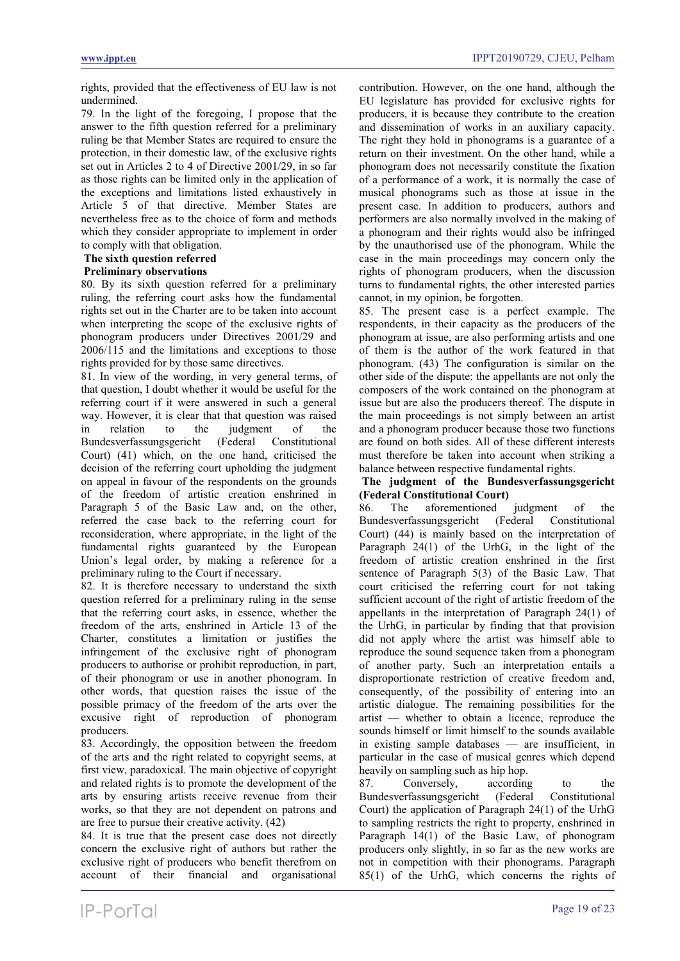rights, provided that the effectiveness of EU law is not undermined.

79. In the light of the foregoing, I propose that the answer to the fifth question referred for a preliminary ruling be that Member States are required to ensure the protection, in their domestic law, of the exclusive rights set out in Articles 2 to 4 of Directive 2001/29, in so far as those rights can be limited only in the application of the exceptions and limitations listed exhaustively in Article 5 of that directive. Member States are nevertheless free as to the choice of form and methods which they consider appropriate to implement in order to comply with that obligation.

# **The sixth question referred**

# **Preliminary observations**

80. By its sixth question referred for a preliminary ruling, the referring court asks how the fundamental rights set out in the Charter are to be taken into account when interpreting the scope of the exclusive rights of phonogram producers under Directives 2001/29 and 2006/115 and the limitations and exceptions to those rights provided for by those same directives.

81. In view of the wording, in very general terms, of that question, I doubt whether it would be useful for the referring court if it were answered in such a general way. However, it is clear that that question was raised in relation to the judgment of the<br>Bundesverfassungsgericht (Federal Constitutional Bundesverfassungsgericht (Federal Constitutional Court) (41) which, on the one hand, criticised the decision of the referring court upholding the judgment on appeal in favour of the respondents on the grounds of the freedom of artistic creation enshrined in Paragraph 5 of the Basic Law and, on the other, referred the case back to the referring court for reconsideration, where appropriate, in the light of the fundamental rights guaranteed by the European Union's legal order, by making a reference for a preliminary ruling to the Court if necessary.

82. It is therefore necessary to understand the sixth question referred for a preliminary ruling in the sense that the referring court asks, in essence, whether the freedom of the arts, enshrined in Article 13 of the Charter, constitutes a limitation or justifies the infringement of the exclusive right of phonogram producers to authorise or prohibit reproduction, in part, of their phonogram or use in another phonogram. In other words, that question raises the issue of the possible primacy of the freedom of the arts over the excusive right of reproduction of phonogram producers.

83. Accordingly, the opposition between the freedom of the arts and the right related to copyright seems, at first view, paradoxical. The main objective of copyright and related rights is to promote the development of the arts by ensuring artists receive revenue from their works, so that they are not dependent on patrons and are free to pursue their creative activity. (42)

84. It is true that the present case does not directly concern the exclusive right of authors but rather the exclusive right of producers who benefit therefrom on account of their financial and organisational

contribution. However, on the one hand, although the EU legislature has provided for exclusive rights for producers, it is because they contribute to the creation and dissemination of works in an auxiliary capacity. The right they hold in phonograms is a guarantee of a return on their investment. On the other hand, while a phonogram does not necessarily constitute the fixation of a performance of a work, it is normally the case of musical phonograms such as those at issue in the present case. In addition to producers, authors and performers are also normally involved in the making of a phonogram and their rights would also be infringed by the unauthorised use of the phonogram. While the case in the main proceedings may concern only the rights of phonogram producers, when the discussion turns to fundamental rights, the other interested parties cannot, in my opinion, be forgotten.

85. The present case is a perfect example. The respondents, in their capacity as the producers of the phonogram at issue, are also performing artists and one of them is the author of the work featured in that phonogram. (43) The configuration is similar on the other side of the dispute: the appellants are not only the composers of the work contained on the phonogram at issue but are also the producers thereof. The dispute in the main proceedings is not simply between an artist and a phonogram producer because those two functions are found on both sides. All of these different interests must therefore be taken into account when striking a balance between respective fundamental rights.

# **The judgment of the Bundesverfassungsgericht (Federal Constitutional Court)**

86. The aforementioned judgment of the Bundesverfassungsgericht (Federal Constitutional Court) (44) is mainly based on the interpretation of Paragraph 24(1) of the UrhG, in the light of the freedom of artistic creation enshrined in the first sentence of Paragraph 5(3) of the Basic Law. That court criticised the referring court for not taking sufficient account of the right of artistic freedom of the appellants in the interpretation of Paragraph 24(1) of the UrhG, in particular by finding that that provision did not apply where the artist was himself able to reproduce the sound sequence taken from a phonogram of another party. Such an interpretation entails a disproportionate restriction of creative freedom and, consequently, of the possibility of entering into an artistic dialogue. The remaining possibilities for the artist — whether to obtain a licence, reproduce the sounds himself or limit himself to the sounds available in existing sample databases — are insufficient, in particular in the case of musical genres which depend heavily on sampling such as hip hop.

87. Conversely, according to the Bundesverfassungsgericht (Federal Constitutional Court) the application of Paragraph 24(1) of the UrhG to sampling restricts the right to property, enshrined in Paragraph 14(1) of the Basic Law, of phonogram producers only slightly, in so far as the new works are not in competition with their phonograms. Paragraph 85(1) of the UrhG, which concerns the rights of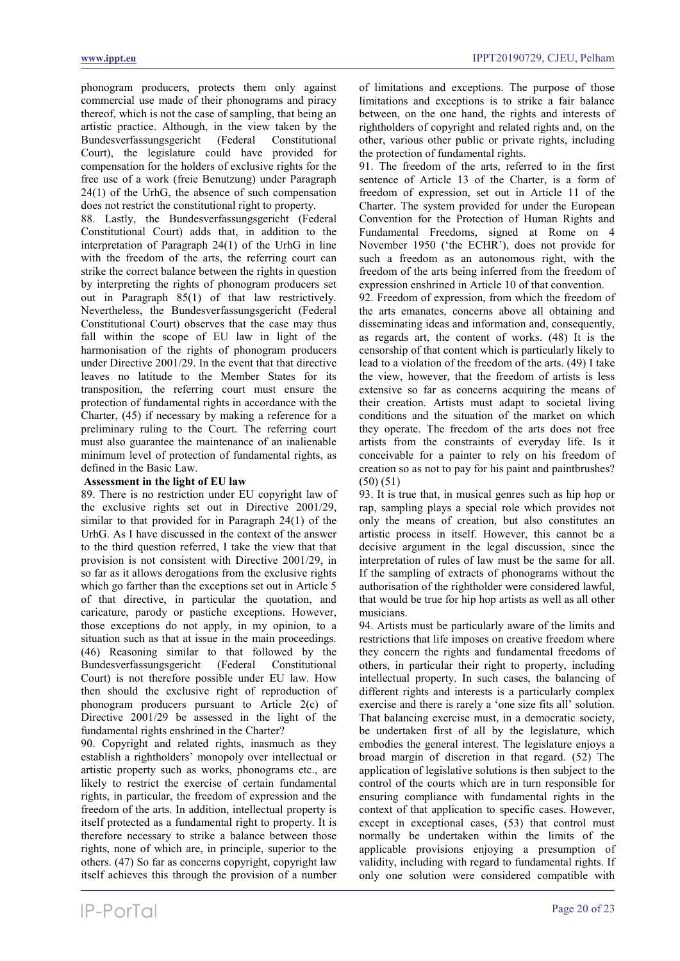phonogram producers, protects them only against commercial use made of their phonograms and piracy thereof, which is not the case of sampling, that being an artistic practice. Although, in the view taken by the Bundesverfassungsgericht (Federal Constitutional Court), the legislature could have provided for compensation for the holders of exclusive rights for the free use of a work (freie Benutzung) under Paragraph 24(1) of the UrhG, the absence of such compensation does not restrict the constitutional right to property.

88. Lastly, the Bundesverfassungsgericht (Federal Constitutional Court) adds that, in addition to the interpretation of Paragraph 24(1) of the UrhG in line with the freedom of the arts, the referring court can strike the correct balance between the rights in question by interpreting the rights of phonogram producers set out in Paragraph 85(1) of that law restrictively. Nevertheless, the Bundesverfassungsgericht (Federal Constitutional Court) observes that the case may thus fall within the scope of EU law in light of the harmonisation of the rights of phonogram producers under Directive 2001/29. In the event that that directive leaves no latitude to the Member States for its transposition, the referring court must ensure the protection of fundamental rights in accordance with the Charter, (45) if necessary by making a reference for a preliminary ruling to the Court. The referring court must also guarantee the maintenance of an inalienable minimum level of protection of fundamental rights, as defined in the Basic Law.

# **Assessment in the light of EU law**

89. There is no restriction under EU copyright law of the exclusive rights set out in Directive 2001/29, similar to that provided for in Paragraph 24(1) of the UrhG. As I have discussed in the context of the answer to the third question referred, I take the view that that provision is not consistent with Directive 2001/29, in so far as it allows derogations from the exclusive rights which go farther than the exceptions set out in Article 5 of that directive, in particular the quotation, and caricature, parody or pastiche exceptions. However, those exceptions do not apply, in my opinion, to a situation such as that at issue in the main proceedings. (46) Reasoning similar to that followed by the Bundesverfassungsgericht (Federal Constitutional Court) is not therefore possible under EU law. How then should the exclusive right of reproduction of phonogram producers pursuant to Article 2(c) of Directive 2001/29 be assessed in the light of the fundamental rights enshrined in the Charter?

90. Copyright and related rights, inasmuch as they establish a rightholders' monopoly over intellectual or artistic property such as works, phonograms etc., are likely to restrict the exercise of certain fundamental rights, in particular, the freedom of expression and the freedom of the arts. In addition, intellectual property is itself protected as a fundamental right to property. It is therefore necessary to strike a balance between those rights, none of which are, in principle, superior to the others. (47) So far as concerns copyright, copyright law itself achieves this through the provision of a number of limitations and exceptions. The purpose of those limitations and exceptions is to strike a fair balance between, on the one hand, the rights and interests of rightholders of copyright and related rights and, on the other, various other public or private rights, including the protection of fundamental rights.

91. The freedom of the arts, referred to in the first sentence of Article 13 of the Charter, is a form of freedom of expression, set out in Article 11 of the Charter. The system provided for under the European Convention for the Protection of Human Rights and Fundamental Freedoms, signed at Rome on 4 November 1950 ('the ECHR'), does not provide for such a freedom as an autonomous right, with the freedom of the arts being inferred from the freedom of expression enshrined in Article 10 of that convention.

92. Freedom of expression, from which the freedom of the arts emanates, concerns above all obtaining and disseminating ideas and information and, consequently, as regards art, the content of works. (48) It is the censorship of that content which is particularly likely to lead to a violation of the freedom of the arts. (49) I take the view, however, that the freedom of artists is less extensive so far as concerns acquiring the means of their creation. Artists must adapt to societal living conditions and the situation of the market on which they operate. The freedom of the arts does not free artists from the constraints of everyday life. Is it conceivable for a painter to rely on his freedom of creation so as not to pay for his paint and paintbrushes? (50) (51)

93. It is true that, in musical genres such as hip hop or rap, sampling plays a special role which provides not only the means of creation, but also constitutes an artistic process in itself. However, this cannot be a decisive argument in the legal discussion, since the interpretation of rules of law must be the same for all. If the sampling of extracts of phonograms without the authorisation of the rightholder were considered lawful, that would be true for hip hop artists as well as all other musicians.

94. Artists must be particularly aware of the limits and restrictions that life imposes on creative freedom where they concern the rights and fundamental freedoms of others, in particular their right to property, including intellectual property. In such cases, the balancing of different rights and interests is a particularly complex exercise and there is rarely a 'one size fits all' solution. That balancing exercise must, in a democratic society, be undertaken first of all by the legislature, which embodies the general interest. The legislature enjoys a broad margin of discretion in that regard. (52) The application of legislative solutions is then subject to the control of the courts which are in turn responsible for ensuring compliance with fundamental rights in the context of that application to specific cases. However, except in exceptional cases, (53) that control must normally be undertaken within the limits of the applicable provisions enjoying a presumption of validity, including with regard to fundamental rights. If only one solution were considered compatible with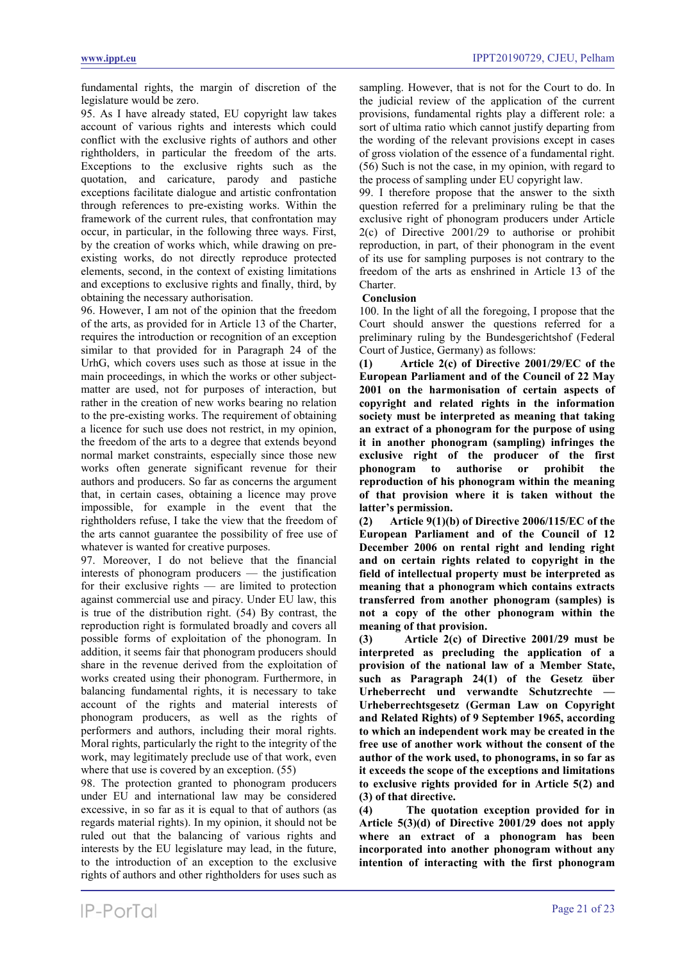fundamental rights, the margin of discretion of the legislature would be zero.

95. As I have already stated, EU copyright law takes account of various rights and interests which could conflict with the exclusive rights of authors and other rightholders, in particular the freedom of the arts. Exceptions to the exclusive rights such as the quotation, and caricature, parody and pastiche exceptions facilitate dialogue and artistic confrontation through references to pre-existing works. Within the framework of the current rules, that confrontation may occur, in particular, in the following three ways. First, by the creation of works which, while drawing on preexisting works, do not directly reproduce protected elements, second, in the context of existing limitations and exceptions to exclusive rights and finally, third, by obtaining the necessary authorisation.

96. However, I am not of the opinion that the freedom of the arts, as provided for in Article 13 of the Charter, requires the introduction or recognition of an exception similar to that provided for in Paragraph 24 of the UrhG, which covers uses such as those at issue in the main proceedings, in which the works or other subjectmatter are used, not for purposes of interaction, but rather in the creation of new works bearing no relation to the pre-existing works. The requirement of obtaining a licence for such use does not restrict, in my opinion, the freedom of the arts to a degree that extends beyond normal market constraints, especially since those new works often generate significant revenue for their authors and producers. So far as concerns the argument that, in certain cases, obtaining a licence may prove impossible, for example in the event that the rightholders refuse, I take the view that the freedom of the arts cannot guarantee the possibility of free use of whatever is wanted for creative purposes.

97. Moreover, I do not believe that the financial interests of phonogram producers — the justification for their exclusive rights — are limited to protection against commercial use and piracy. Under EU law, this is true of the distribution right. (54) By contrast, the reproduction right is formulated broadly and covers all possible forms of exploitation of the phonogram. In addition, it seems fair that phonogram producers should share in the revenue derived from the exploitation of works created using their phonogram. Furthermore, in balancing fundamental rights, it is necessary to take account of the rights and material interests of phonogram producers, as well as the rights of performers and authors, including their moral rights. Moral rights, particularly the right to the integrity of the work, may legitimately preclude use of that work, even where that use is covered by an exception. (55)

98. The protection granted to phonogram producers under EU and international law may be considered excessive, in so far as it is equal to that of authors (as regards material rights). In my opinion, it should not be ruled out that the balancing of various rights and interests by the EU legislature may lead, in the future, to the introduction of an exception to the exclusive rights of authors and other rightholders for uses such as sampling. However, that is not for the Court to do. In the judicial review of the application of the current provisions, fundamental rights play a different role: a sort of ultima ratio which cannot justify departing from the wording of the relevant provisions except in cases of gross violation of the essence of a fundamental right. (56) Such is not the case, in my opinion, with regard to the process of sampling under EU copyright law.

99. I therefore propose that the answer to the sixth question referred for a preliminary ruling be that the exclusive right of phonogram producers under Article 2(c) of Directive 2001/29 to authorise or prohibit reproduction, in part, of their phonogram in the event of its use for sampling purposes is not contrary to the freedom of the arts as enshrined in Article 13 of the Charter.

### **Conclusion**

100. In the light of all the foregoing, I propose that the Court should answer the questions referred for a preliminary ruling by the Bundesgerichtshof (Federal Court of Justice, Germany) as follows:

**(1) Article 2(c) of Directive 2001/29/EC of the European Parliament and of the Council of 22 May 2001 on the harmonisation of certain aspects of copyright and related rights in the information society must be interpreted as meaning that taking an extract of a phonogram for the purpose of using it in another phonogram (sampling) infringes the exclusive right of the producer of the first phonogram to authorise or prohibit the reproduction of his phonogram within the meaning of that provision where it is taken without the latter's permission.**

**(2) Article 9(1)(b) of Directive 2006/115/EC of the European Parliament and of the Council of 12 December 2006 on rental right and lending right and on certain rights related to copyright in the field of intellectual property must be interpreted as meaning that a phonogram which contains extracts transferred from another phonogram (samples) is not a copy of the other phonogram within the meaning of that provision.**

**(3) Article 2(c) of Directive 2001/29 must be interpreted as precluding the application of a provision of the national law of a Member State, such as Paragraph 24(1) of the Gesetz über**  Urheberrecht und verwandte Schutzrechte **Urheberrechtsgesetz (German Law on Copyright and Related Rights) of 9 September 1965, according to which an independent work may be created in the free use of another work without the consent of the author of the work used, to phonograms, in so far as it exceeds the scope of the exceptions and limitations to exclusive rights provided for in Article 5(2) and (3) of that directive.**

**(4) The quotation exception provided for in Article 5(3)(d) of Directive 2001/29 does not apply where an extract of a phonogram has been incorporated into another phonogram without any intention of interacting with the first phonogram**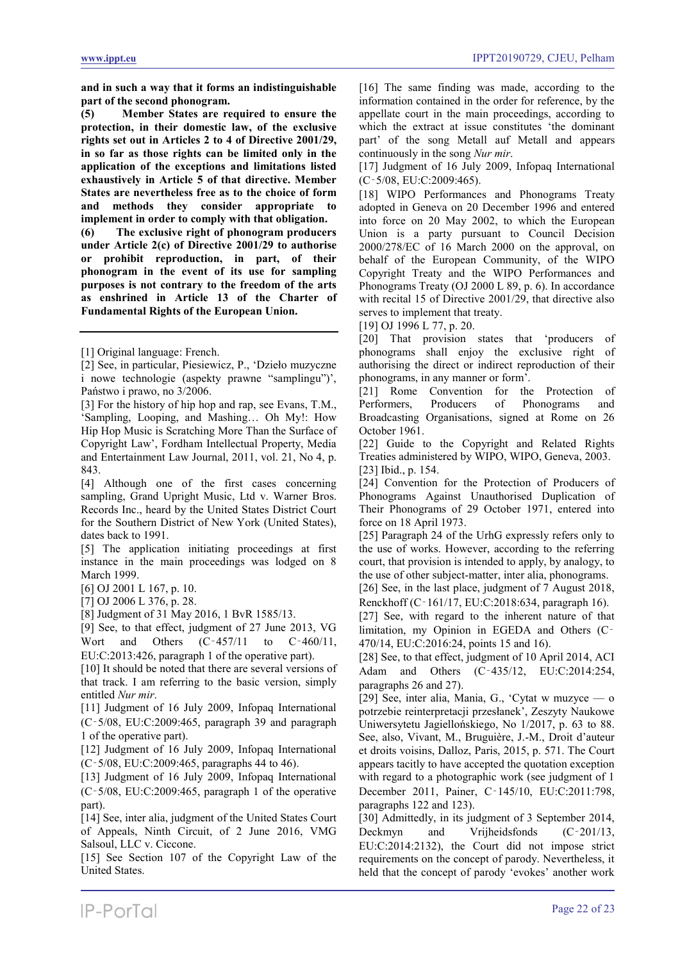**and in such a way that it forms an indistinguishable** 

**part of the second phonogram.**<br>(5) **Member States are re (5) Member States are required to ensure the protection, in their domestic law, of the exclusive rights set out in Articles 2 to 4 of Directive 2001/29, in so far as those rights can be limited only in the application of the exceptions and limitations listed exhaustively in Article 5 of that directive. Member States are nevertheless free as to the choice of form and methods they consider appropriate to implement in order to comply with that obligation.**

**(6) The exclusive right of phonogram producers under Article 2(c) of Directive 2001/29 to authorise or prohibit reproduction, in part, of their phonogram in the event of its use for sampling purposes is not contrary to the freedom of the arts as enshrined in Article 13 of the Charter of Fundamental Rights of the European Union.**

[3] For the history of hip hop and rap, see Evans, T.M., 'Sampling, Looping, and Mashing… Oh My!: How Hip Hop Music is Scratching More Than the Surface of Copyright Law', Fordham Intellectual Property, Media and Entertainment Law Journal, 2011, vol. 21, No 4, p. 843.

[4] Although one of the first cases concerning sampling, Grand Upright Music, Ltd v. Warner Bros. Records Inc., heard by the United States District Court for the Southern District of New York (United States), dates back to 1991.

[5] The application initiating proceedings at first instance in the main proceedings was lodged on 8 March 1999.

[6] OJ 2001 L 167, p. 10.

[7] OJ 2006 L 376, p. 28.

[8] Judgment of 31 May 2016, 1 BvR 1585/13.

[9] See, to that effect, judgment of 27 June 2013, VG Wort and Others (C-457/11 to C-460/11, EU:C:2013:426, paragraph 1 of the operative part).

[10] It should be noted that there are several versions of that track. I am referring to the basic version, simply entitled *Nur mir*.

[11] Judgment of 16 July 2009, Infopaq International (C‑5/08, EU:C:2009:465, paragraph 39 and paragraph 1 of the operative part).

[12] Judgment of 16 July 2009, Infopaq International (C‑5/08, EU:C:2009:465, paragraphs 44 to 46).

[13] Judgment of 16 July 2009, Infopaq International  $(C-5/08, EU:C:2009:465, paragraph 1 of the operative$ part).

[14] See, inter alia, judgment of the United States Court of Appeals, Ninth Circuit, of 2 June 2016, VMG Salsoul, LLC v. Ciccone.

[15] See Section 107 of the Copyright Law of the United States.

[16] The same finding was made, according to the information contained in the order for reference, by the appellate court in the main proceedings, according to which the extract at issue constitutes 'the dominant part' of the song Metall auf Metall and appears continuously in the song *Nur mir*.

[17] Judgment of 16 July 2009, Infopaq International (C‑5/08, EU:C:2009:465).

[18] WIPO Performances and Phonograms Treaty adopted in Geneva on 20 December 1996 and entered into force on 20 May 2002, to which the European Union is a party pursuant to Council Decision 2000/278/EC of 16 March 2000 on the approval, on behalf of the European Community, of the WIPO Copyright Treaty and the WIPO Performances and Phonograms Treaty (OJ 2000 L 89, p. 6). In accordance with recital 15 of Directive 2001/29, that directive also serves to implement that treaty.

[19] OJ 1996 L 77, p. 20.

[20] That provision states that 'producers of phonograms shall enjoy the exclusive right of authorising the direct or indirect reproduction of their phonograms, in any manner or form'.

[21] Rome Convention for the Protection of Performers, Producers of Phonograms and Producers of Phonograms and Broadcasting Organisations, signed at Rome on 26 October 1961.

[22] Guide to the Copyright and Related Rights Treaties administered by WIPO, WIPO, Geneva, 2003. [23] Ibid., p. 154.

[24] Convention for the Protection of Producers of Phonograms Against Unauthorised Duplication of Their Phonograms of 29 October 1971, entered into force on 18 April 1973.

[25] Paragraph 24 of the UrhG expressly refers only to the use of works. However, according to the referring court, that provision is intended to apply, by analogy, to the use of other subject-matter, inter alia, phonograms.

[26] See, in the last place, judgment of 7 August 2018, Renckhoff (C‑161/17, EU:C:2018:634, paragraph 16).

[27] See, with regard to the inherent nature of that limitation, my Opinion in EGEDA and Others (C‑ 470/14, EU:C:2016:24, points 15 and 16).

[28] See, to that effect, judgment of 10 April 2014, ACI Adam and Others (C-435/12, EU:C:2014:254, paragraphs 26 and 27).

[29] See, inter alia, Mania, G., 'Cytat w muzyce — o potrzebie reinterpretacji przesłanek', Zeszyty Naukowe Uniwersytetu Jagiellońskiego, No 1/2017, p. 63 to 88. See, also, Vivant, M., Bruguière, J.-M., Droit d'auteur et droits voisins, Dalloz, Paris, 2015, p. 571. The Court appears tacitly to have accepted the quotation exception with regard to a photographic work (see judgment of 1 December 2011, Painer, C‑145/10, EU:C:2011:798, paragraphs 122 and 123).

[30] Admittedly, in its judgment of 3 September 2014, Deckmyn and Vrijheidsfonds (C–201/13, EU:C:2014:2132), the Court did not impose strict requirements on the concept of parody. Nevertheless, it held that the concept of parody 'evokes' another work

<sup>[1]</sup> Original language: French.

<sup>[2]</sup> See, in particular, Piesiewicz, P., 'Dzieło muzyczne i nowe technologie (aspekty prawne "samplingu")', Państwo i prawo, no 3/2006.